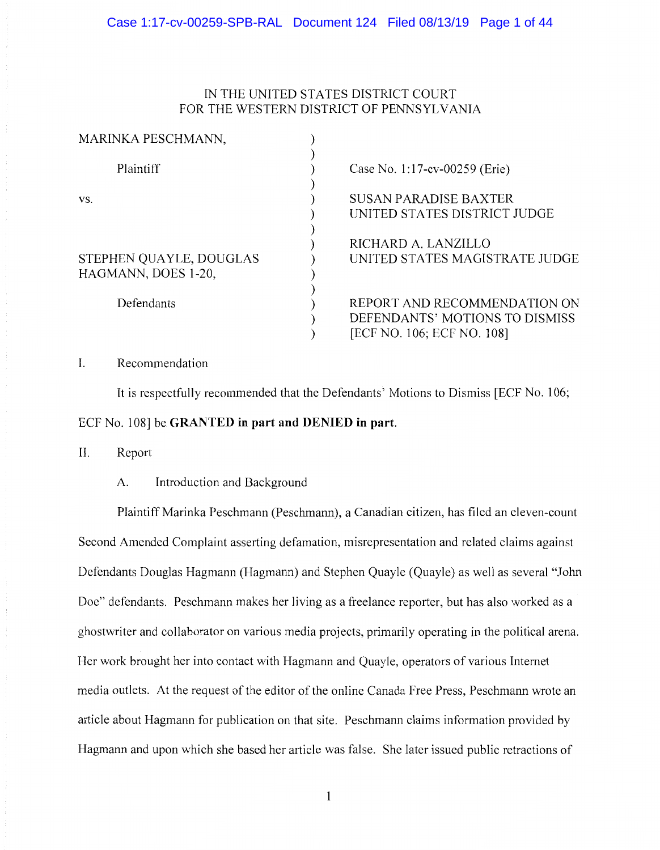# IN THE UNITED STATES DISTRICT COURT FOR THE WESTERN DISTRICT OF PENNSYLVANIA

| MARINKA PESCHMANN,      |                                                                |
|-------------------------|----------------------------------------------------------------|
| Plaintiff               | Case No. 1:17-cv-00259 (Erie)                                  |
| VS.                     | <b>SUSAN PARADISE BAXTER</b><br>UNITED STATES DISTRICT JUDGE   |
| STEPHEN QUAYLE, DOUGLAS | RICHARD A. LANZILLO<br>UNITED STATES MAGISTRATE JUDGE          |
| HAGMANN, DOES 1-20,     |                                                                |
| Defendants              | REPORT AND RECOMMENDATION ON<br>DEFENDANTS' MOTIONS TO DISMISS |
|                         | [ECF NO. 106; ECF NO. 108]                                     |

I. Recommendation

It is respectfully recommended that the Defendants' Motions to Dismiss [ECF No. 106; ECF No. 108] be **GRANTED in part and DENIED in part.** 

II. Report

A. Introduction and Background

Plaintiff Marinka Peschmann (Peschmann), a Canadian citizen, has filed an eleven-count Second Amended Complaint asserting defamation, misrepresentation and related claims against Defendants Douglas Hagmann (Hagmann) and Stephen Quayle (Quayle) as well as several "John Doe" defendants. Peschmann makes her living as a freelance reporter, but has also worked as a ghostwriter and collaborator on various media projects, primarily operating in the political arena. Her work brought her into contact with Hagmann and Quayle, operators of various Internet media outlets. At the request of the editor of the online Canada Free Press, Peschmann wrote an article about Hagmann for publication on that site. Peschmann claims information provided by Hagmann and upon which she based her article was false. She later issued public retractions of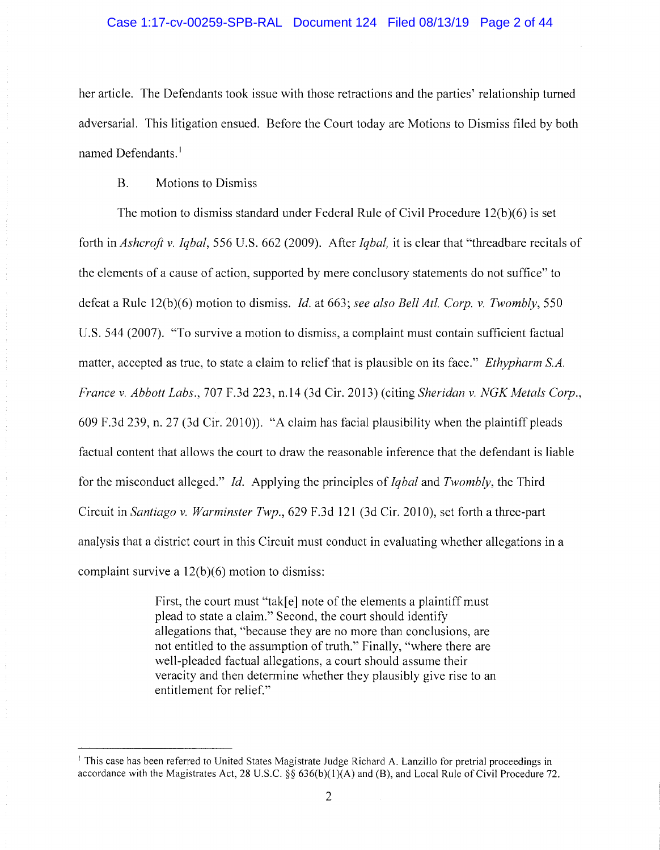# Case 1:17-cv-00259-SPB-RAL Document 124 Filed 08/13/19 Page 2 of 44

her article. The Defendants took issue with those retractions and the parties' relationship turned adversarial. This litigation ensued. Before the Court today are Motions to Dismiss filed by both named Defendants.<sup>1</sup>

# B. Motions to Dismiss

The motion to dismiss standard under Federal Rule of Civil Procedure  $12(b)(6)$  is set forth in *Ashcroft v. Iqbal,* 556 U.S. 662 (2009). After *Iqbal,* it is clear that "threadbare recitals of the elements of a cause of action, supported by mere conclusory statements do not suffice" to defeat a Rule 12(b)(6) motion to dismiss. *Id.* at 663; *see also Bell Atl. Corp. v. Twombly,* 550 U.S. 544 (2007). "To survive a motion to dismiss, a complaint must contain sufficient factual matter, accepted as true, to state a claim to relief that is plausible on its face." *Ethypharm SA. France v. Abbott Labs.,* 707 F.3d 223, n.14 (3d Cir. 2013) (citing *Sheridan v. NGK Metals Corp.,*  609 F.3d 239, n. 27 (3d Cir. 2010)). "A claim has facial plausibility when the plaintiff pleads factual content that allows the court to draw the reasonable inference that the defendant is liable for the misconduct alleged." *Id.* Applying the principles of *Iqbal* and *Twombly,* the Third Circuit in *Santiago v. Warminster Twp.,* 629 F.3d 121 (3d Cir. 2010), set forth a three-part analysis that a district court in this Circuit must conduct in evaluating whether allegations in a complaint survive a 12(b)(6) motion to dismiss:

> First, the court must "tak[e] note of the elements a plaintiff must plead to state a claim." Second, the court should identify allegations that, "because they are no more than conclusions, are not entitled to the assumption of truth." Finally, "where there are well-pleaded factual allegations, a court should assume their veracity and then determine whether they plausibly give rise to an entitlement for relief."

<sup>&</sup>lt;sup>1</sup> This case has been referred to United States Magistrate Judge Richard A. Lanzillo for pretrial proceedings in accordance with the Magistrates Act, 28 U.S.C. §§ 636(b)(l)(A) and (8), and Local Rule of Civil Procedure 72.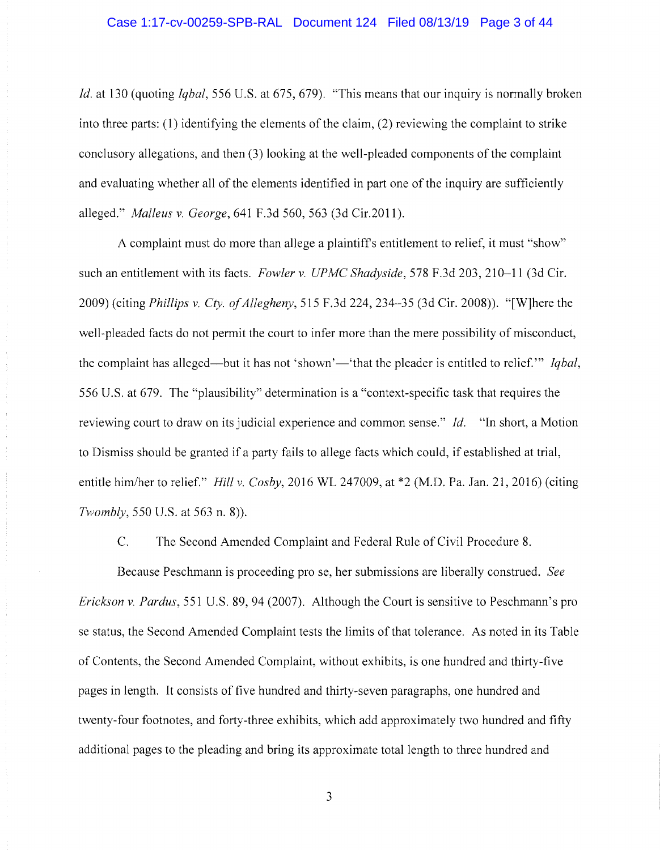*Id.* at 130 (quoting *Iqbal,* 556 U.S. at 675, 679). "This means that our inquiry is normally broken into three parts: ( 1) identifying the elements of the claim, (2) reviewing the complaint to strike conclusory allegations, and then (3) looking at the well-pleaded components of the complaint and evaluating whether all of the elements identified in part one of the inquiry are sufficiently alleged." *Malleus v. George,* 641 F.3d 560, 563 (3d Cir.2011).

A complaint must do more than allege a plaintiffs entitlement to relief, it must "show" such an entitlement with its facts. *Fowler* v. *UPMC Shadyside,* 578 F.3d 203, 210-11 (3d Cir. 2009) (citing *Phillips v. Cty. of Allegheny,* 515 F.3d 224, 234-35 (3d Cir. 2008)). "[W]here the well-pleaded facts do not permit the court to infer more than the mere possibility of misconduct, the complaint has alleged—but it has not 'shown'—'that the pleader is entitled to relief." *Igbal*, 556 U.S. at 679. The "plausibility" determination is a "context-specific task that requires the reviewing court to draw on its judicial experience and common sense." *Id.* "In short, a Motion to Dismiss should be granted if a party fails to allege facts which could, if established at trial, entitle him/her to relief." *Hill v. Cosby,* 2016 WL 247009, at \*2 (M.D. Pa. Jan. 21, 2016) (citing *Twombly,* 550 U.S. at 563 n. 8)).

C. The Second Amended Complaint and Federal Rule of Civil Procedure 8.

Because Peschmann is proceeding pro se, her submissions are liberally construed. *See Erickson v. Pardus,* 551 U.S. 89, 94 (2007). Although the Court is sensitive to Peschmann's pro se status, the Second Amended Complaint tests the limits of that tolerance. As noted in its Table of Contents, the Second Amended Complaint, without exhibits, is one hundred and thirty-five pages in length. It consists of five hundred and thirty-seven paragraphs, one hundred and twenty-four footnotes, and forty-three exhibits, which add approximately two hundred and fifty additional pages to the pleading and bring its approximate total length to three hundred and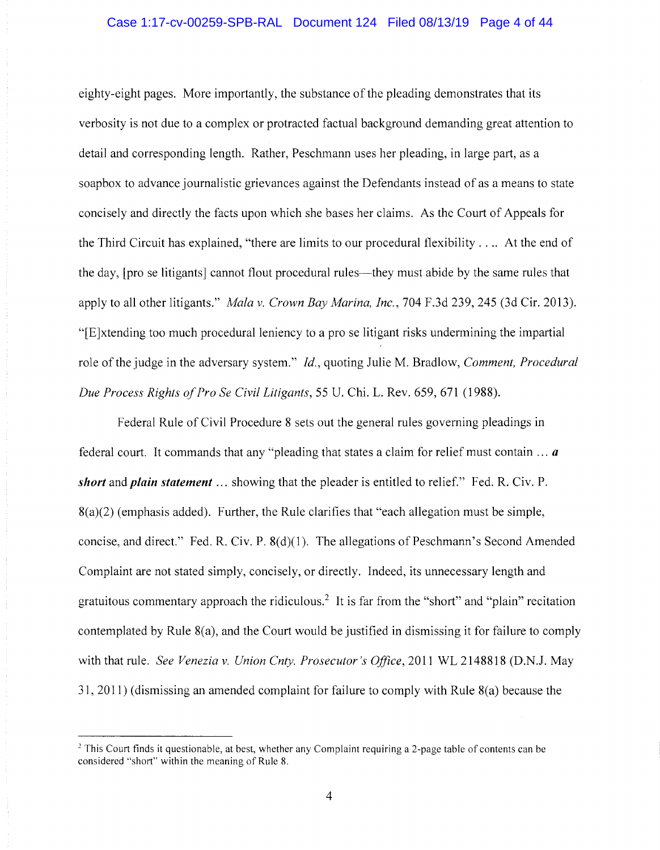# Case 1:17-cv-00259-SPB-RAL Document 124 Filed 08/13/19 Page 4 of 44

eighty-eight pages. More importantly, the substance of the pleading demonstrates that its verbosity is not due to a complex or protracted factual background demanding great attention to detail and corresponding length. Rather, Peschmann uses her pleading, in large part, as a soapbox to advance journalistic grievances against the Defendants instead of as a means to state concisely and directly the facts upon which she bases her claims. As the Court of Appeals for the Third Circuit has explained, "there are limits to our procedural flexibility . . .. At the end of the day, [pro se litigants] cannot flout procedural rules—they must abide by the same rules that apply to all other litigants." *Mala v. Crown Bay Marina, Inc.,* 704 F.3d 239,245 (3d Cir. 2013). "[E]xtending too much procedural leniency to a pro se litigant risks undermining the impartial role of the judge in the adversary system." *Id.,* quoting Julie M. Bradlow, *Comment, Procedural Due Process Rights of Pro Se Civil Litigants,* 55 U. Chi. L. Rev. 659, 671 (1988).

Federal Rule of Civil Procedure 8 sets out the general rules governing pleadings in federal court. It commands that any "pleading that states a claim for relief must contain ... *a short* and *plain statement* ... showing that the pleader is entitled to relief." Fed. R. Civ. P.  $8(a)(2)$  (emphasis added). Further, the Rule clarifies that "each allegation must be simple, concise, and direct." Fed. R. Civ. P. 8(d)(1). The allegations of Peschmann's Second Amended Complaint are not stated simply, concisely, or directly. Indeed, its unnecessary length and gratuitous commentary approach the ridiculous.<sup>2</sup> It is far from the "short" and "plain" recitation contemplated by Rule 8(a), and the Court would be justified in dismissing it for failure to comply with that rule. *See Venezia v. Union Cnty. Prosecutor's Office,* 2011 WL 2148818 (D.N.J. May 31, 2011) (dismissing an amended complaint for failure to comply with Rule 8(a) because the

<sup>&</sup>lt;sup>2</sup> This Court finds it questionable, at best, whether any Complaint requiring a 2-page table of contents can be considered "short" within the meaning of Rule 8.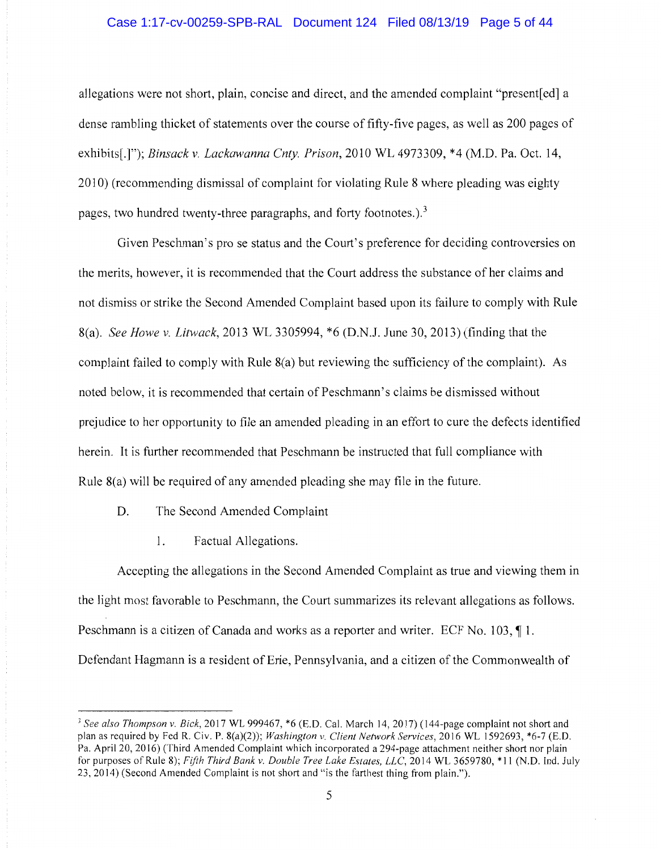# Case 1:17-cv-00259-SPB-RAL Document 124 Filed 08/13/19 Page 5 of 44

allegations were not short, plain, concise and direct, and the amended complaint "present [ed] a dense rambling thicket of statements over the course of fifty-five pages, as well as 200 pages of exhibits[.]"); *Binsack v. Lackawanna Cnty. Prison,* 2010 WL 4973309, \*4 (M.D. Pa. Oct. 14, 2010) (recommending dismissal of complaint for violating Rule 8 where pleading was eighty pages, two hundred twenty-three paragraphs, and forty footnotes.).<sup>3</sup>

Given Peschman's pro se status and the Court's preference for deciding controversies on the merits, however, it is recommended that the Court address the substance of her claims and not dismiss or strike the Second Amended Complaint based upon its failure to comply with Rule 8(a). *See Howe v. Litwack,* 2013 WL 3305994, \*6 (D.N.J. June 30, 2013) (finding that the complaint failed to comply with Rule 8(a) but reviewing the sufficiency of the complaint). As noted below, it is recommended that certain of Peschmann's claims be dismissed without prejudice to her opportunity to file an amended pleading in an effort to cure the defects identified herein. It is further recommended that Peschmann be instructed that full compliance with Rule 8(a) will be required of any amended pleading she may file in the future.

- D. The Second Amended Complaint
	- 1. Factual Allegations.

Accepting the allegations in the Second Amended Complaint as true and viewing them in the light most favorable to Peschmann, the Court summarizes its relevant allegations as follows. Peschmann is a citizen of Canada and works as a reporter and writer. ECF No. 103,  $\P$ 1. Defendant Hagmann is a resident of Erie, Pennsylvania, and a citizen of the Commonwealth of

<sup>3</sup>*See also Thompson v. Bick,* 2017 WL 999467, \*6 (E.D. Cal. March 14, 2017) (144-page complaint not short and plan as required by Fed R. Civ. P. 8(a)(2)); *Washington v. Client Network Services,* 2016 WL 1592693, \*6-7 (E.D. Pa. April 20, 2016) (Third Amended Complaint which incorporated a 294-page attachment neither short nor plain for purposes of Rule 8); *Fifth Third Bank v. Double Tree lake Estates. LLC,* 2014 WL 3659780, \* 11 (N.D. Ind. July 23, 2014) (Second Amended Complaint is not short and "is the farthest thing from plain.").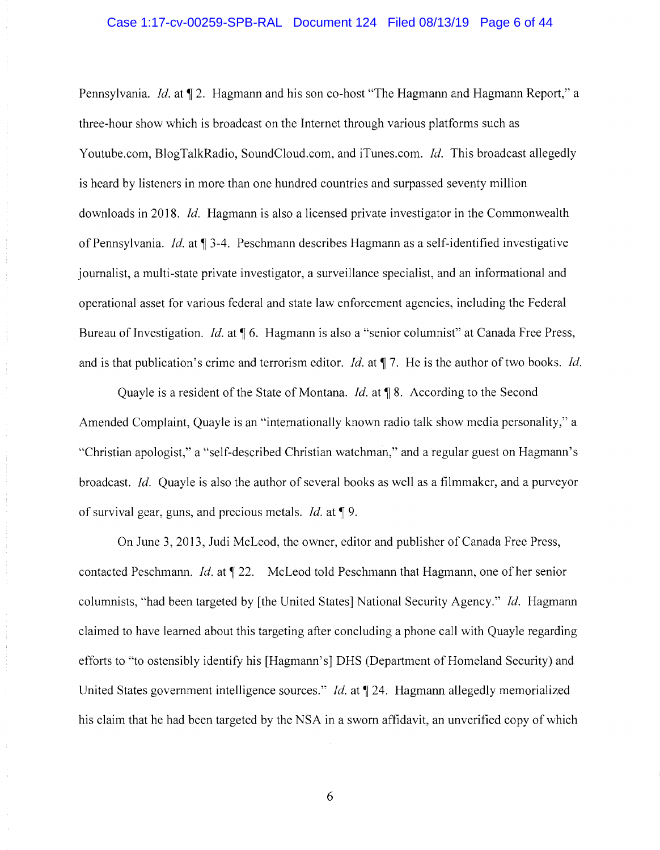# Case 1:17-cv-00259-SPB-RAL Document 124 Filed 08/13/19 Page 6 of 44

Pennsylvania. *Id.* at  $\P$  2. Hagmann and his son co-host "The Hagmann and Hagmann Report," a three-hour show which is broadcast on the Internet through various platforms such as Youtube.com, BlogTalkRadio, SoundCloud.com, and iTunes.com. *Id.* This broadcast allegedly is heard by listeners in more than one hundred countries and surpassed seventy million downloads in 2018. *Id.* Hagmann is also a licensed private investigator in the Commonwealth of Pennsylvania. *Id.* at  $\P$  3-4. Peschmann describes Hagmann as a self-identified investigative journalist, a multi-state private investigator, a surveillance specialist, and an informational and operational asset for various federal and state law enforcement agencies, including the Federal Bureau of Investigation. *Id.* at  $\P$  6. Hagmann is also a "senior columnist" at Canada Free Press, and is that publication's crime and terrorism editor. *Id.* at  $\P$  7. He is the author of two books. *Id.* 

Quayle is a resident of the State of Montana. *Id.* at **\apparameters** 8. According to the Second Amended Complaint, Quayle is an "internationally known radio talk show media personality," a "Christian apologist," a "self-described Christian watchman," and a regular guest on Hagmann's broadcast. *Id.* Quayle is also the author of several books as well as a filmmaker, and a purveyor of survival gear, guns, and precious metals. *Id.* at 19.

On June 3, 2013, Judi McLeod, the owner, editor and publisher of Canada Free Press, contacted Peschmann. *Id.* at  $\P$  22. McLeod told Peschmann that Hagmann, one of her senior columnists, "had been targeted by [the United States] National Security Agency." *Id.* Hagmann claimed to have learned about this targeting after concluding a phone call with Quayle regarding efforts to "to ostensibly identify his [Hagmann's] DHS (Department of Homeland Security) and United States government intelligence sources." *Id.* at  $\P$  24. Hagmann allegedly memorialized his claim that he had been targeted by the NSA in a sworn affidavit, an unverified copy of which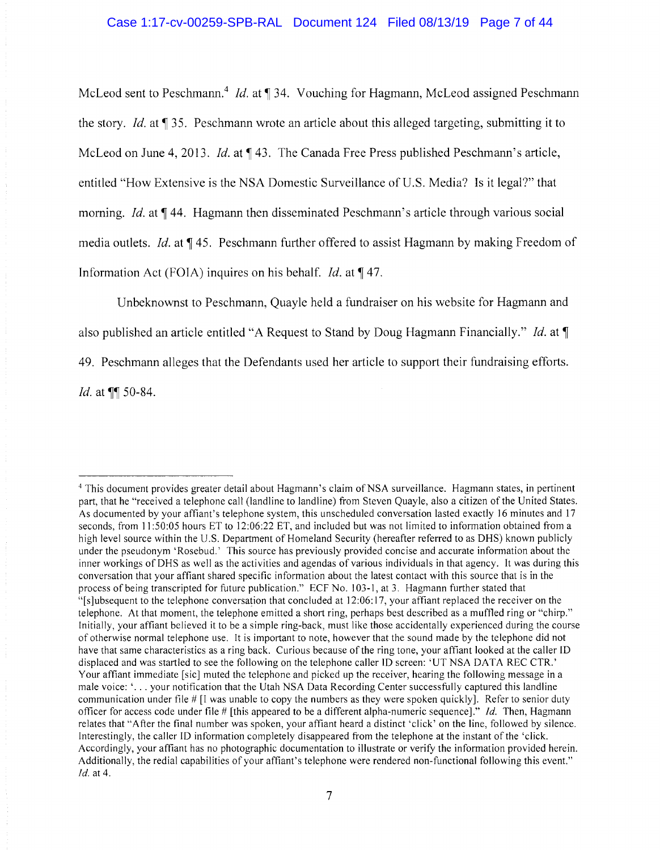McLeod sent to Peschmann.<sup>4</sup> *Id.* at 134. Vouching for Hagmann, McLeod assigned Peschmann the story. *Id.* at 135. Peschmann wrote an article about this alleged targeting, submitting it to McLeod on June 4, 2013. *Id.* at 143. The Canada Free Press published Peschmann's article, entitled "How Extensive is the NSA Domestic Surveillance of U.S. Media? Is it legal?" that morning. *Id.* at  $\P$  44. Hagmann then disseminated Peschmann's article through various social media outlets. *Id.* at 145. Peschmann further offered to assist Hagmann by making Freedom of Information Act (FOIA) inquires on his behalf. *Id.* at 147.

Unbeknownst to Peschmann, Quayle held a fundraiser on his website for Hagmann and also published an article entitled "A Request to Stand by Doug Hagmann Financially." *Id.* at  $\P$ 49. Peschmann alleges that the Defendants used her article to support their fundraising efforts. *Id.* at  $\P\P$  50-84.

<sup>&</sup>lt;sup>4</sup> This document provides greater detail about Hagmann's claim of NSA surveillance. Hagmann states, in pertinent part, that he "received a telephone call (landline to landline) from Steven Quayle, also a citizen of the United States. As documented by your affiant's telephone system, this unscheduled conversation lasted exactly 16 minutes and 17 seconds, from 11:50:05 hours ET to 12:06:22 ET, and included but was not limited to information obtained from a high level source within the U.S. Department of Homeland Security (hereafter referred to as DHS) known publicly under the pseudonym 'Rosebud.' This source has previously provided concise and accurate information about the inner workings of OHS as well as the activities and agendas of various individuals in that agency. It was during this conversation that your affiant shared specific information about the latest contact with this source that is in the process of being transcripted for future publication." ECF No. 103-1, at 3. Hagmann further stated that "[s]ubsequent to the telephone conversation that concluded at 12:06: 17, your affiant replaced the receiver on the telephone. At that moment, the telephone emitted a short ring, perhaps best described as a muffled ring or "chirp." Initially, your affiant believed it to be a simple ring-back, must like those accidentally experienced during the course of otherwise normal telephone use. It is important to note, however that the sound made by the telephone did not have that same characteristics as a ring back. Curious because of the ring tone, your affiant looked at the caller ID displaced and was startled to see the following on the telephone caller ID screen: 'UT NSA DATA REC CTR.' Your affiant immediate [sic] muted the telephone and picked up the receiver, hearing the following message in a male voice: '... your notification that the Utah NSA Data Recording Center successfully captured this landline communication under file# [I was unable to copy the numbers as they were spoken quickly]. Refer to senior duty officer for access code under file# [this appeared to be a different alpha-numeric sequence]." *id.* Then, Hagmann relates that "After the final number was spoken, your affiant heard a distinct 'click' on the line, followed by silence. Interestingly, the caller ID information completely disappeared from the telephone at the instant of the 'click. Accordingly, your affiant has no photographic documentation to illustrate or verify the information provided herein. Additionally, the redial capabilities of your affiant's telephone were rendered non-functional following this event." *Id.* at 4.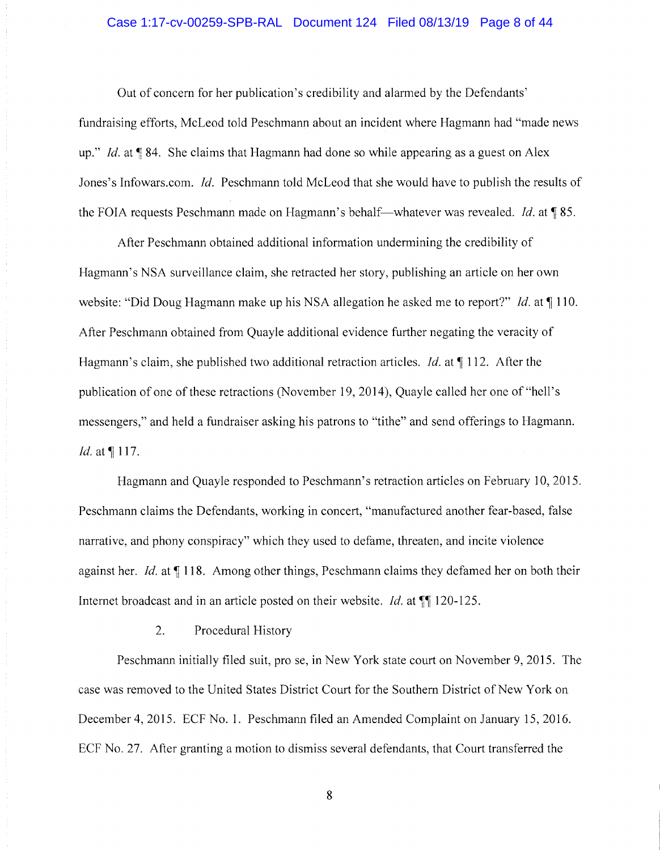### Case 1:17-cv-00259-SPB-RAL Document 124 Filed 08/13/19 Page 8 of 44

Out of concern for her publication's credibility and alarmed by the Defendants' fundraising efforts, McLeod told Peschmann about an incident where Hagmann had "made news up." *Id.* at **1**84. She claims that Hagmann had done so while appearing as a guest on Alex Jones's lnfowars.com. *Id.* Peschmann told McLeod that she would have to publish the results of the FOIA requests Peschmann made on Hagmann's behalf-whatever was revealed. Id. at 185.

After Peschmann obtained additional information undermining the credibility of Hagmann's NSA surveillance claim, she retracted her story, publishing an article on her own website: "Did Doug Hagmann make up his NSA allegation he asked me to report?" *Id.* at  $\P$  110. After Peschmann obtained from Quayle additional evidence further negating the veracity of Hagmann's claim, she published two additional retraction articles. *Id.* at  $\P$  112. After the publication of one of these retractions (November 19, 2014), Quayle called her one of "hell's messengers," and held a fundraiser asking his patrons to "tithe" and send offerings to Hagmann. *Id.* at *[117.]* 

Hagmann and Quayle responded to Peschmann's retraction articles on February 10, 2015. Peschmann claims the Defendants, working in concert, "manufactured another fear-based, false narrative, and phony conspiracy" which they used to defame, threaten, and incite violence against her. *Id.* at  $\P$  118. Among other things, Peschmann claims they defamed her on both their Internet broadcast and in an article posted on their website. *Id.* at  $\P$  120-125.

2. Procedural History

Peschmann initially filed suit, pro se, in New York state court on November 9, 2015. The case was removed to the United States District Court for the Southern District of New York on December 4, 2015. ECF No. 1. Peschmann filed an Amended Complaint on January 15, 2016. ECF No. 27. After granting a motion to dismiss several defendants, that Court transferred the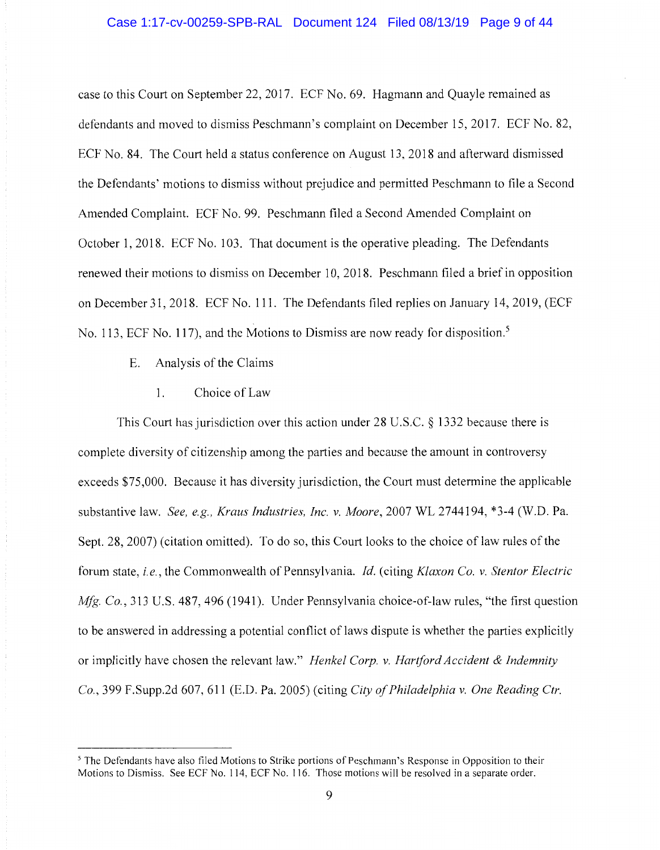case to this Court on September 22, 2017. ECF No. 69. Hagmann and Quayle remained as defendants and moved to dismiss Peschmann's complaint on December 15, 2017. ECF No. 82, ECF No. 84. The Court held a status conference on August 13, 2018 and afterward dismissed the Defendants' motions to dismiss without prejudice and permitted Peschmann to file a Second Amended Complaint. ECF No. 99. Peschmann filed a Second Amended Complaint on October **1,** 2018. ECF No. 103. That document is the operative pleading. The Defendants renewed their motions to dismiss on December 10, 2018. Peschmann filed a brief in opposition on December 31, 2018. ECF No. **111.** The Defendants filed replies on January **14,** 2019, (ECF No. 113, ECF No. 117), and the Motions to Dismiss are now ready for disposition.<sup>5</sup>

- E. Analysis of the Claims
	- 1. Choice of Law

This Court has jurisdiction over this action under 28 U.S.C. § 1332 because there is complete diversity of citizenship among the parties and because the amount in controversy exceeds \$75,000. Because it has diversity jurisdiction, the Court must determine the applicable substantive law. *See, e.g., Kraus Industries, Inc. v. Moore,* 2007 WL 2744194, \*3-4 (W.D. Pa. Sept. 28, 2007) (citation omitted). To do so, this Court looks to the choice of law rules of the forum state, *i.e.,* the Commonwealth of Pennsylvania. *Id.* ( citing *Klaxon Co. v. Stentor Electric Mfg. Co.*, 313 U.S. 487, 496 (1941). Under Pennsylvania choice-of-law rules, "the first question to be answered in addressing a potential conflict of laws dispute is whether the parties explicitly or implicitly have chosen the relevant law." *Henkel Corp. v. Hartford Accident & Indemnity Co.,* 399 F.Supp.2d 607, 611 (E.D. Pa. 2005) (citing *City of Philadelphia v. One Reading Ctr.* 

<sup>&</sup>lt;sup>5</sup> The Defendants have also filed Motions to Strike portions of Peschmann's Response in Opposition to their Motions to Dismiss. See ECF No. 114, ECF No. 116. Those motions will be resolved in a separate order.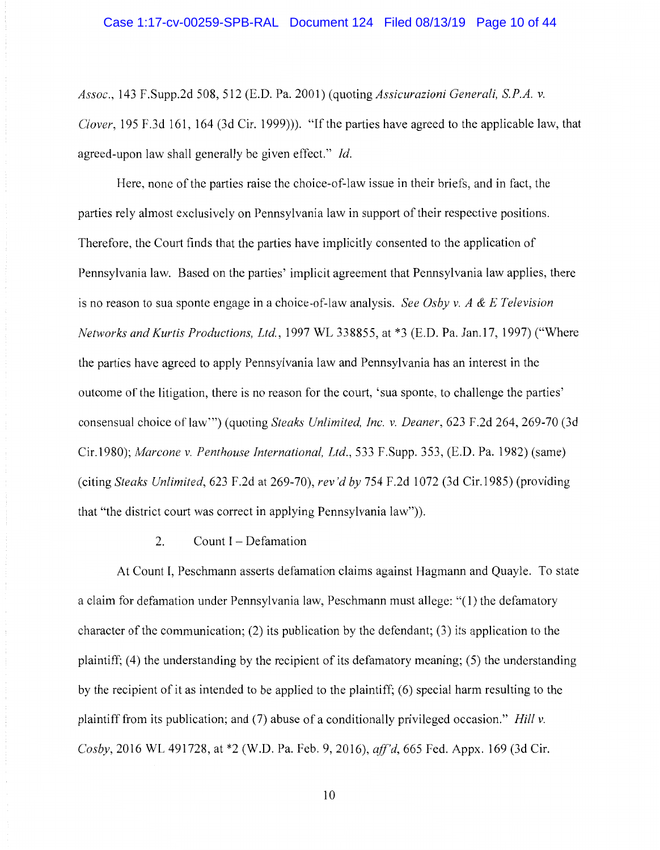*Assoc.,* 143 F.Supp.2d 508,512 (E.D. Pa. 2001) (quoting *Assicurazioni Generali, SP.A. v. Clover*, 195 F.3d 161, 164 (3d Cir. 1999))). "If the parties have agreed to the applicable law, that agreed-upon law shall generally be given effect." *Id.* 

Here, none of the parties raise the choice-of-law issue in their briefs, and in fact, the parties rely almost exclusively on Pennsylvania law in support of their respective positions. Therefore, the Court finds that the parties have implicitly consented to the application of Pennsylvania law. Based on the parties' implicit agreement that Pennsylvania law applies, there is no reason to sua sponte engage in a choice-of-law analysis. *See Osby v. A & E Television Networks and Kurtis Productions, Ltd.,* 1997 WL 338855, at \*3 (E.D. Pa. Jan.17, 1997) ("Where the parties have agreed to apply Pennsylvania law and Pennsylvania has an interest in the outcome of the litigation, there is no reason for the court, 'sua sponte, to challenge the parties' consensual choice oflaw"') (quoting *Steaks Unlimited, Inc. v. Deaner,* 623 F.2d 264, 269-70 (3d Cir.1980); *Marcone v. Penthouse International, Ltd.,* 533 F.Supp. 353, (E.D. Pa. 1982) (same) (citing *Steaks Unlimited,* 623 F.2d at 269-70), *rev 'd by* 754 F.2d I 072 (3d Cir.1985) (providing that "the district court was correct in applying Pennsylvania law")).

# 2. Count  $I - Defamation$

At Count I, Peschmann asserts defamation claims against Hagmann and Quayle. To state a claim for defamation under Pennsylvania law, Peschmann must allege: "(1) the defamatory character of the communication; (2) its publication by the defendant; (3) its application to the plaintiff; (4) the understanding by the recipient of its defamatory meaning; (5) the understanding by the recipient of it as intended to be applied to the plaintiff; (6) special harm resulting to the plaintiff from its publication; and (7) abuse of a conditionally privileged occasion." *Hill v. Cosby,* 2016 WL 491728, at \*2 (W.D. Pa. Feb. 9, 2016), *ajf'd,* 665 Fed. Appx. 169 (3d Cir.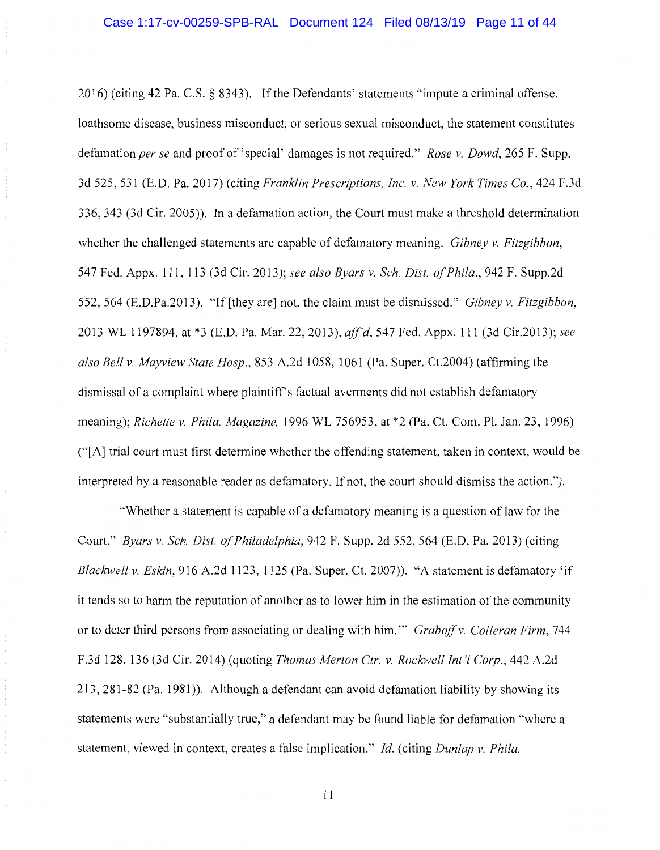2016) (citing 42 Pa. C.S. § 8343). If the Defendants' statements "impute a criminal offense, loathsome disease, business misconduct, or serious sexual misconduct, the statement constitutes defamation *per se* and proof of' special' damages is not required." *Rose v. Dowd,* 265 F. Supp. 3d 525, 531 (E.D. Pa. 2017) (citing *Franklin Prescriptions, Inc. v. New York Times Co.,* 424 F.3d 336, 343 (3d Cir. 2005)). In a defamation action, the Court must make a threshold determination whether the challenged statements are capable of defamatory meaning. *Gibney v. Fitzgibbon,*  54 7 Fed. Appx. 111, 113 (3d Cir. 2013); *see also Byars v. Sch. Dist. of Phi/a.,* 942 F. Supp.2d 552,564 (E.D.Pa.2013). "If [they are] not, the claim must be dismissed." *Gibney v. Fitzgibbon,*  2013 WL 1197894, at \*3 (E.D. Pa. Mar. 22, 2013), *aff'd,* 547 Fed. Appx. 111 (3d Cir.2013); *see also Bell v. Mayview State Hosp.,* 853 A.2d 1058, 1061 (Pa. Super. Ct.2004) (affirming the dismissal of a complaint where plaintiff's factual averments did not establish defamatory meaning); *Richette v. Phi/a. Magazine,* 1996 WL 756953, at \*2 (Pa. Ct. Com. Pl. Jan. 23, 1996) ("[A] trial court must first determine whether the offending statement, taken in context, would be interpreted by a reasonable reader as defamatory. If not, the court should dismiss the action.").

"Whether a statement is capable of a defamatory meaning is a question of law for the Court." *Byars v. Sch. Dist. of Philadelphia,* 942 F. Supp. 2d 552, 564 (E.D. Pa. 2013) (citing *Blackwell v. Eskin,* 916 A.2d 1123, 1125 (Pa. Super. Ct. 2007)). "A statement is defamatory 'if it tends so to harm the reputation of another as to lower him in the estimation of the community or to deter third persons from associating or dealing with him." *Graboff v. Colleran Firm*, 744 F.3d 128, 136 (3d Cir. 2014) (quoting *Thomas Merton Ctr. v. Rockwell Int'! Corp.,* 442 A.2d 213, 281-82 (Pa. 1981 )). Although a defendant can avoid defamation liability by showing its statements were "substantially true," a defendant may be found liable for defamation "where a statement, viewed in context, creates a false implication." *Id.* (citing *Dunlap v. Phi/a.*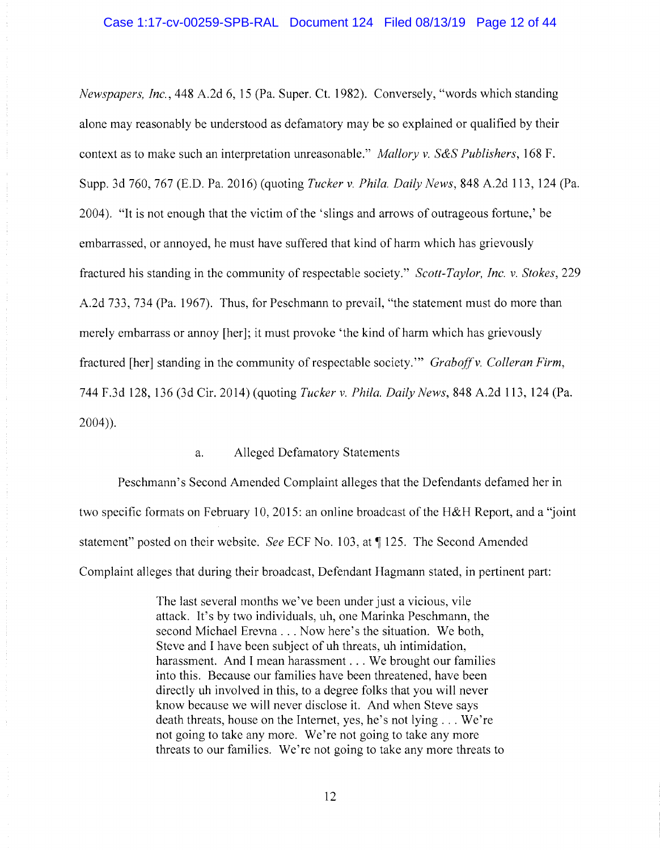*Newspapers, Inc.,* 448 A.2d 6, 15 (Pa. Super. Ct. 1982). Conversely, "words which standing alone may reasonably be understood as defamatory may be so explained or qualified by their context as to make such an interpretation unreasonable." *Mallory v. S&S Publishers,* 168 F. Supp. 3d 760, 767 (E.D. Pa. 2016) (quoting *Tucker* v. *Phila. Daily News,* 848 A.2d 113, 124 (Pa. 2004). "It is not enough that the victim of the 'slings and arrows of outrageous fortune,' be embarrassed, or annoyed, he must have suffered that kind of harm which has grievously fractured his standing in the community of respectable society." *Scott-Taylor, Inc. v. Stokes*, 229 A.2d 733, 734 (Pa. 1967). Thus, for Peschmann to prevail, "the statement must do more than merely embarrass or annoy [her]; it must provoke 'the kind of harm which has grievously fractured [her] standing in the community of respectable society." *Graboff v. Colleran Firm*, 744 F.3d 128, 136 (3d Cir. 2014) (quoting *Tucker* v. *Phila. Daily News,* 848 A.2d 113, 124 (Pa. 2004)).

# a. Alleged Defamatory Statements

Peschmann's Second Amended Complaint alleges that the Defendants defamed her in two specific formats on February 10, 2015: an online broadcast of the H&H Report, and a "joint statement" posted on their website. *See* ECF No. 103, at ¶ 125. The Second Amended Complaint alleges that during their broadcast, Defendant Hagmann stated, in pertinent part:

> The last several months we've been under just a vicious, vile attack. It's by two individuals, uh, one Marinka Peschmann, the second Michael Erevna ... Now here's the situation. We both, Steve and I have been subject of uh threats, uh intimidation, harassment. And I mean harassment . . . We brought our families into this. Because our families have been threatened, have been directly uh involved in this, to a degree folks that you will never know because we will never disclose it. And when Steve says death threats, house on the Internet, yes, he's not lying ... We're not going to take any more. We're not going to take any more threats to our families. We're not going to take any more threats to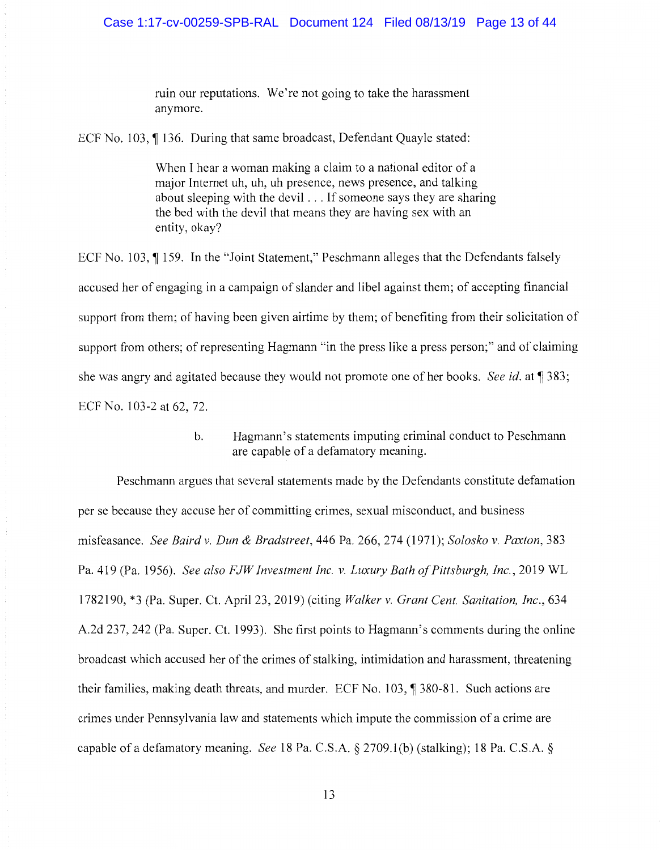ruin our reputations. We're not going to take the harassment anymore.

ECF No. 103,  $\P$  136. During that same broadcast, Defendant Quayle stated:

When I hear a woman making a claim to a national editor of a major Internet uh, uh, uh presence, news presence, and talking about sleeping with the devil ... If someone says they are sharing the bed with the devil that means they are having sex with an entity, okay?

ECF No. 103,  $\parallel$  159. In the "Joint Statement," Peschmann alleges that the Defendants falsely accused her of engaging in a campaign of slander and libel against them; of accepting financial support from them; of having been given airtime by them; of benefiting from their solicitation of support from others; of representing Hagmann "in the press like a press person;" and of claiming she was angry and agitated because they would not promote one of her books. *See id.* at 1383; ECF No. 103-2 at 62, 72.

> b. Hagmann's statements imputing criminal conduct to Peschmann are capable of a defamatory meaning.

Peschmann argues that several statements made by the Defendants constitute defamation per se because they accuse her of committing crimes, sexual misconduct, and business misfeasance. *See Baird v. Dun & Bradstreet,* 446 Pa. 266, 274 (1971); *Solosko v. Paxton,* 383 Pa. 419 (Pa. 1956). *See also FJW Investment Inc. v. Luxury Bath of Pittsburgh, Inc.,* 2019 WL 1782190, \*3 (Pa. Super. Ct. April 23, 2019) (citing *Walker v. Grant Cent. Sanitation, Inc.,* 634 A.2d 237, 242 (Pa. Super. Ct. 1993). She first points to Hagmann's comments during the online broadcast which accused her of the crimes of stalking, intimidation and harassment, threatening their families, making death threats, and murder. ECF No.  $103$ ,  $\sqrt{\frac{380-81}{15}}$ . Such actions are crimes under Pennsylvania law and statements which impute the commission of a crime are capable of a defamatory meaning. *See* 18 Pa. C.S.A. § 2709.1(b) (stalking); 18 Pa. C.S.A. §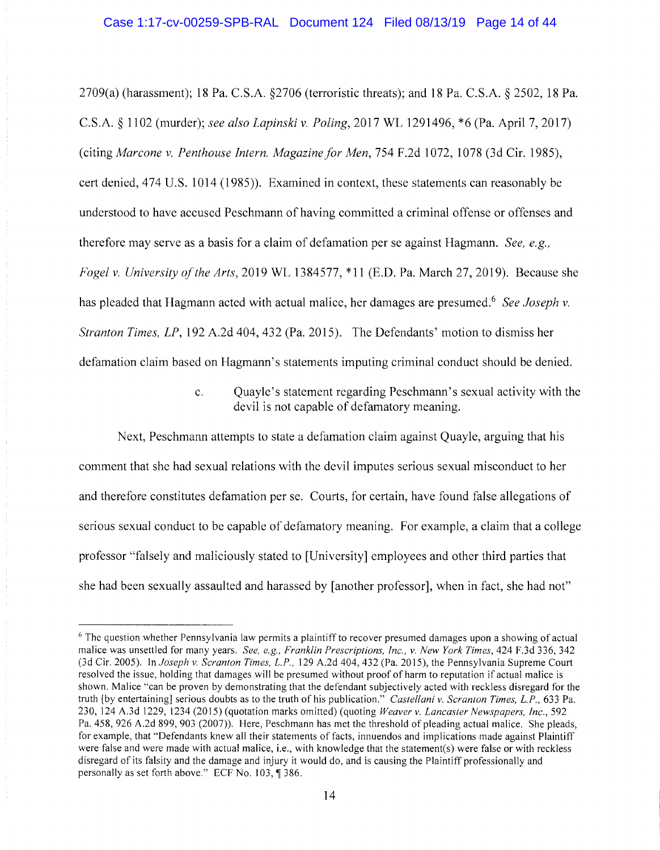2709(a) (harassment); 18 Pa. C.S.A. §2706 (terroristic threats); and 18 Pa. C.S.A. § 2502, 18 Pa. C.S.A. § 1102 (murder); *see also Lapinski v. Poling,* 2017 WL 1291496, \*6 (Pa. April 7, 2017) ( citing *Marcone v. Penthouse Intern. Magazine for Men,* 754 F .2d 1072, 1078 (3d Cir. 1985), cert denied, 4 74 U.S. 1014 (1985)). Examined in context, these statements can reasonably be understood to have accused Peschmann of having committed a criminal offense or offenses and therefore may serve as a basis for a claim of defamation per se against Hagmann. *See, e.g., Fogel v. University of the Arts,* 2019 WL 1384577, \*11 (E.D. Pa. March 27, 2019). Because she has pleaded that Hagmann acted with actual malice, her damages are presumed.<sup>6</sup> See Joseph v. *Stranton Times, LP,* 192 A.2d 404,432 (Pa. 2015). The Defendants' motion to dismiss her defamation claim based on Hagmann's statements imputing criminal conduct should be denied.

> c. Quayle's statement regarding Peschmann's sexual activity with the devil is not capable of defamatory meaning.

Next, Peschmann attempts to state a defamation claim against Quayle, arguing that his comment that she had sexual relations with the devil imputes serious sexual misconduct to her and therefore constitutes defamation per se. Courts, for certain, have found false allegations of serious sexual conduct to be capable of defamatory meaning. For example, a claim that a college professor "falsely and maliciously stated to [University] employees and other third parties that she had been sexually assaulted and harassed by [another professor], when in fact, she had not"

 $6$  The question whether Pennsylvania law permits a plaintiff to recover presumed damages upon a showing of actual malice was unsettled for many years. *See, e.g., Franklin Prescriptions, Inc., v. New York Times*, 424 F.3d 336, 342 (3d Cir. 2005). In *Joseph v. Scranton Times, L.P.,* 129 A.2d 404,432 (Pa. 2015), the Pennsylvania Supreme Court resolved the issue, holding that damages will be presumed without proof of harm to reputation if actual malice is shown. Malice "can be proven by demonstrating that the defendant subjectively acted with reckless disregard for the truth [by entertaining] serious doubts as to the truth of his publication." *Castellani v. Scranton Times, L.P.,* 633 Pa. 230, 124 A.3d 1229, 1234 (2015) (quotation marks omitted) (quoting *Weaver v. Lancaster Newspapers, Inc.,* 592 Pa. 458,926 A.2d 899, 903 (2007)). Here, Peschmann has met the threshold of pleading actual malice. She pleads, for example, that "Defendants knew all their statements of facts, innuendos and implications made against Plaintiff were false and were made with actual malice, i.e., with knowledge that the statement(s) were false or with reckless disregard of its falsity and the damage and injury it would do, and is causing the Plaintiff professionally and personally as set forth above." ECF No.  $103$ ,  $\sqrt{9}$  386.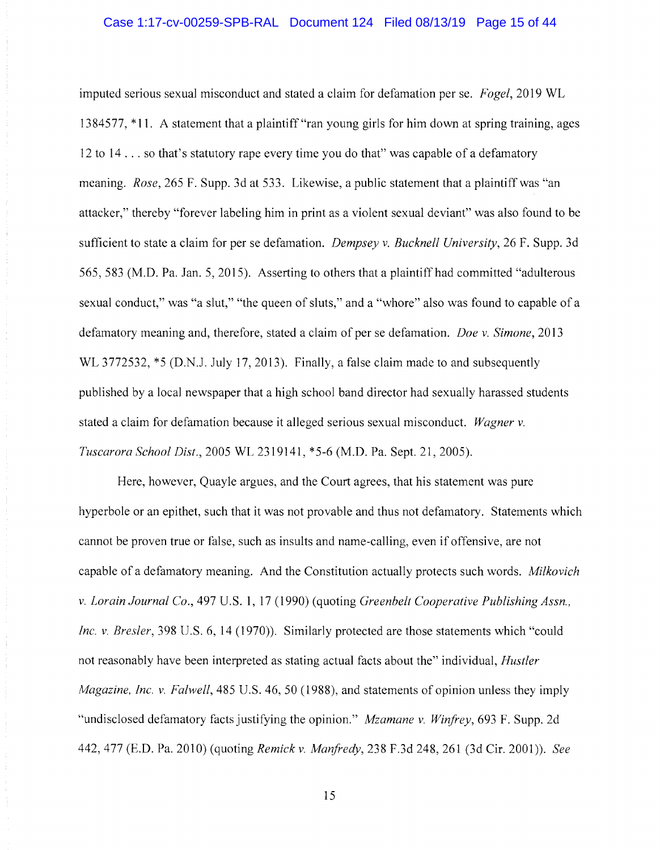imputed serious sexual misconduct and stated a claim for defamation per se. *Fogel,* 2019 WL 1384577, \*11. A statement that a plaintiff"ran young girls for him down at spring training, ages 12 to 14 ... so that's statutory rape every time you do that" was capable of a defamatory meaning. *Rose,* 265 F. Supp. 3d at 533. Likewise, a public statement that a plaintiff was "an attacker," thereby "forever labeling him in print as a violent sexual deviant" was also found to be sufficient to state a claim for per se defamation. *Dempsey v. Bucknell University,* 26 F. Supp. 3d 565, 583 (M.D. Pa. Jan. 5, 2015). Asserting to others that a plaintiff had committed "adulterous sexual conduct," was "a slut," "the queen of sluts," and a "whore" also was found to capable of a defamatory meaning and, therefore, stated a claim of per se defamation. *Doe v. Simone,* 2013 WL 3772532,  $*5$  (D.N.J. July 17, 2013). Finally, a false claim made to and subsequently published by a local newspaper that a high school band director had sexually harassed students stated a claim for defamation because it alleged serious sexual misconduct. *Wagner v. Tuscarora School Dist.,* 2005 WL 2319141, \*5-6 (M.D. Pa. Sept. 21, 2005).

Here, however, Quayle argues, and the Court agrees, that his statement was pure hyperbole or an epithet, such that it was not provable and thus not defamatory. Statements which cannot be proven true or false, such as insults and name-calling, even if offensive, are not capable of a defamatory meaning. And the Constitution actually protects such words. *Milkovich v. Lorain Journal Co.,* 497 U.S. 1, 17 (1990) (quoting *Greenbelt Cooperative Publishing Assn., Inc. v. Bresler,* 398 U.S. 6, 14 (1970)). Similarly protected are those statements which "could not reasonably have been interpreted as stating actual facts about the" individual, *Hustler Magazine, Inc. v. Falwell,* 485 U.S. 46, 50 (1988), and statements of opinion unless they imply "undisclosed defamatory facts justifying the opinion." *Mzamane v. Winfrey,* 693 F. Supp. 2d 442,477 (E.D. Pa. 2010) (quoting *Remick v. Marifredy,* 238 F.3d 248,261 (3d Cir. 2001)). *See*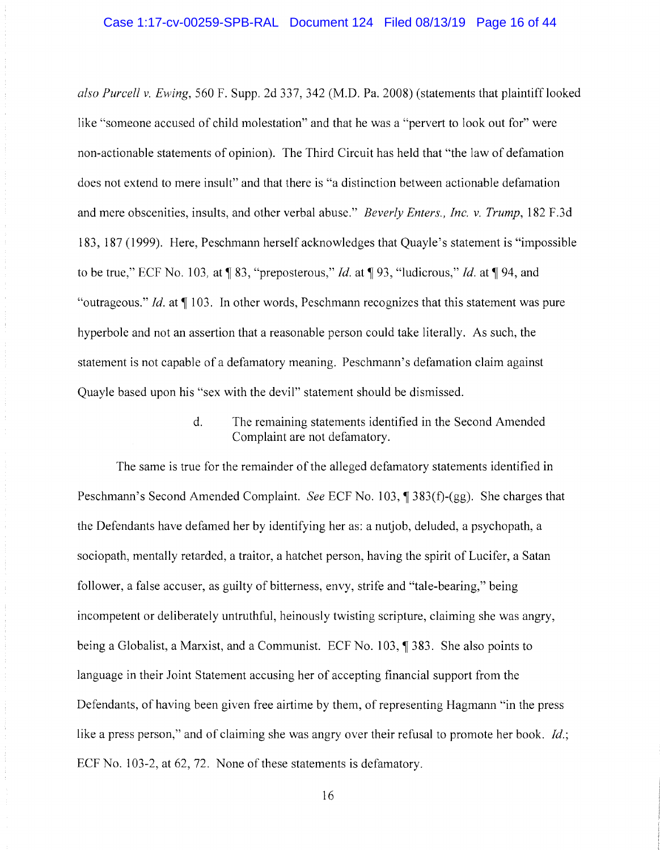*also Purcell v. Ewing,* 560 F. Supp. 2d 337, 342 (M.D. Pa. 2008) (statements that plaintiff looked like "someone accused of child molestation" and that he was a "pervert to look out for" were non-actionable statements of opinion). The Third Circuit has held that "the law of defamation does not extend to mere insult" and that there is "a distinction between actionable defamation and mere obscenities, insults, and other verbal abuse." *Beverly Enters., Inc. v. Trump,* 182 F.3d 183, 187 ( 1999). Here, Peschmann herself acknowledges that Quayle's statement is "impossible to be true," ECF No. 103, at~ 83, "preposterous," *Id.* at~ 93, "ludicrous," *Id.* at~ 94, and "outrageous." *Id.* at  $\P$  103. In other words, Peschmann recognizes that this statement was pure hyperbole and not an assertion that a reasonable person could take literally. As such, the statement is not capable of a defamatory meaning. Peschmann's defamation claim against Quayle based upon his "sex with the devil" statement should be dismissed.

> d. The remaining statements identified in the Second Amended Complaint are not defamatory.

The same is true for the remainder of the alleged defamatory statements identified in Peschmann's Second Amended Complaint. *See* ECF No. 103, ¶ 383(f)-(gg). She charges that the Defendants have defamed her by identifying her as: a nutjob, deluded, a psychopath, a sociopath, mentally retarded, a traitor, a hatchet person, having the spirit of Lucifer, a Satan follower, a false accuser, as guilty of bitterness, envy, strife and "tale-bearing," being incompetent or deliberately untruthful, heinously twisting scripture, claiming she was angry, being a Globalist, a Marxist, and a Communist. ECF No. 103, ¶ 383. She also points to language in their Joint Statement accusing her of accepting financial support from the Defendants, of having been given free airtime by them, of representing Hagmann "in the press like a press person," and of claiming she was angry over their refusal to promote her book. *Id.;*  ECF No. 103-2, at 62, 72. None of these statements is defamatory.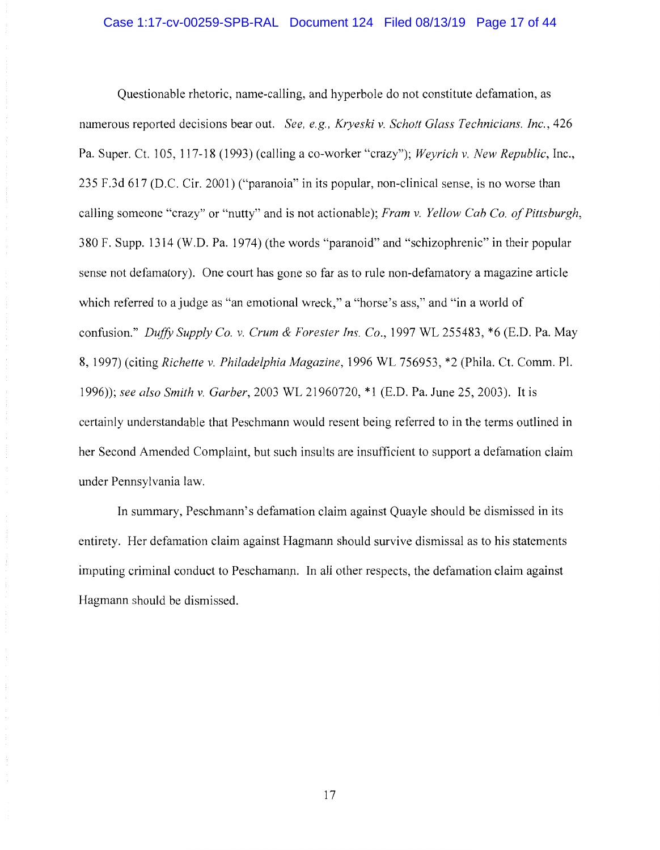Questionable rhetoric, name-calling, and hyperbole do not constitute defamation, as numerous reported decisions bear out. *See, e.g., Kryeski v. Schott Glass Technicians. Inc.,* 426 Pa. Super. Ct. 105, 117-18 (1993) (calling a co-worker "crazy"); *Weyrich v. New Republic,* Inc., 235 F.3d 617 (D.C. Cir. 2001) ("paranoia" in its popular, non-clinical sense, is no worse than calling someone "crazy" or "nutty" and is not actionable); *Fram v. Yellow Cab Co. of Pittsburgh,*  380 F. Supp. 1314 (W.D. Pa. 1974) (the words "paranoid" and "schizophrenic" in their popular sense not defamatory). One court has gone so far as to rule non-defamatory a magazine article which referred to a judge as "an emotional wreck," a "horse's ass," and "in a world of confusion." *Duffy Supply Co. v. Crum & Forester Ins. Co.,* 1997 WL 255483, \*6 (E.D. Pa. May 8, 1997) (citing *Richette v. Philadelphia Magazine,* 1996 WL 756953, \*2 (Phila. Ct. Comm. Pl. 1996)); *see also Smith v. Garber,* 2003 WL 21960720, \* 1 (E.D. Pa. June 25, 2003). It is certainly understandable that Peschmann would resent being referred to in the terms outlined in her Second Amended Complaint, but such insults are insufficient to support a defamation claim under Pennsylvania law.

In summary, Peschmann's defamation claim against Quayle should be dismissed in its entirety. Her defamation claim against Hagmann should survive dismissal as to his statements imputing criminal conduct to Peschamann. In all other respects, the defamation claim against Hagmann should be dismissed.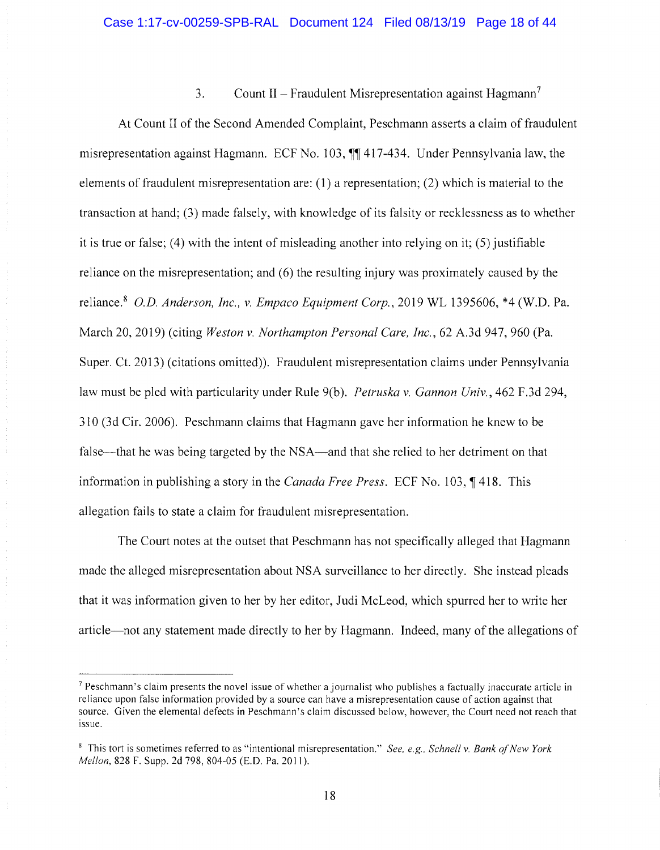# 3. Count II – Fraudulent Misrepresentation against Hagmann<sup>7</sup>

At Count II of the Second Amended Complaint, Peschmann asserts a claim of fraudulent misrepresentation against Hagmann. ECF No. 103,  $\sqrt{\frac{4}{1}}$  417-434. Under Pennsylvania law, the elements of fraudulent misrepresentation are: (1) a representation; (2) which is material to the transaction at hand; (3) made falsely, with knowledge of its falsity or recklessness as to whether it is true or false; (4) with the intent of misleading another into relying on it; (5) justifiable reliance on the misrepresentation; and (6) the resulting injury was proximately caused by the reliance. <sup>8</sup>*O.D. Anderson, Inc., v. Empaco Equipment Corp.,* 2019 WL 1395606, \*4 (W.D. Pa. March 20, 2019) (citing *Weston v. Northampton Personal Care, Inc.,* 62 A.3d 947,960 (Pa. Super. Ct. 2013) (citations omitted)). Fraudulent misrepresentation claims under Pennsylvania law must be pied with particularity under Rule 9(b). *Petruska v. Gannon Univ.,* 462 F.3d 294, 310 (3d Cir. 2006). Peschmann claims that Hagmann gave her information he knew to be false—that he was being targeted by the NSA—and that she relied to her detriment on that information in publishing a story in the *Canada Free Press.* ECF No. 103, 1418. This allegation fails to state a claim for fraudulent misrepresentation.

The Court notes at the outset that Peschmann has not specifically alleged that Hagmann made the alleged misrepresentation about NSA surveillance to her directly. She instead pleads that it was information given to her by her editor, Judi McLeod, which spurred her to write her article-not any statement made directly to her by Hagmann. Indeed, many of the allegations of

<sup>7</sup>Peschmann 's claim presents the novel issue of whether a journalist who publishes a factually inaccurate article in reliance upon false information provided by a source can have a misrepresentation cause of action against that source. Given the elemental defects in Peschmann's claim discussed below, however, the Court need not reach that issue.

<sup>8</sup>This tort is sometimes referred to as "intentional misrepresentation." *See, e.g., Schnell v. Bank of New York Mellon, 828 F. Supp. 2d 798, 804-05 (E.D. Pa. 2011).*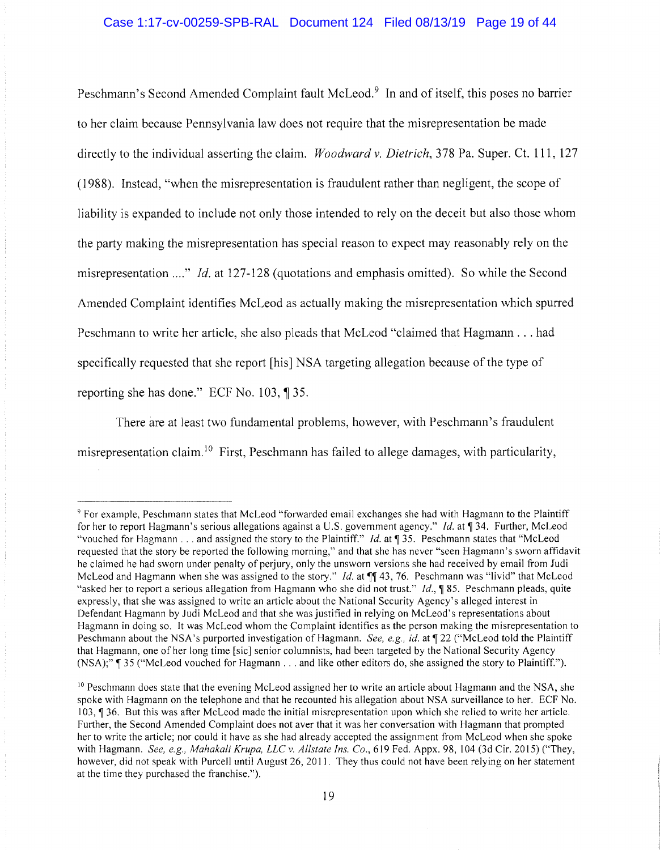Peschmann's Second Amended Complaint fault McLeod.<sup>9</sup> In and of itself, this poses no barrier to her claim because Pennsylvania law does not require that the misrepresentation be made directly to the individual asserting the claim. *Woodward v. Dietrich,* 3 78 Pa. Super. Ct. **111,** 127 (1988). Instead, "when the misrepresentation is fraudulent rather than negligent, the scope of liability is expanded to include not only those intended to rely on the deceit but also those whom the party making the misrepresentation has special reason to expect may reasonably rely on the misrepresentation ...." *Id.* at 127-128 (quotations and emphasis omitted). So while the Second Amended Complaint identifies McLeod as actually making the misrepresentation which spurred Peschmann to write her article, she also pleads that McLeod "claimed that Hagmann ... had specifically requested that she report [his] NSA targeting allegation because of the type of reporting she has done." ECF No.  $103$ ,  $\sqrt{\phantom{0}}35$ .

There are at least two fundamental problems, however, with Peschmann's fraudulent misrepresentation claim.<sup>10</sup> First, Peschmann has failed to allege damages, with particularity,

<sup>&</sup>lt;sup>9</sup> For example, Peschmann states that McLeod "forwarded email exchanges she had with Hagmann to the Plaintiff for her to report Hagmann's serious allegations against a U.S. government agency." *Id.* at ¶ 34. Further, McLeod "vouched for Hagmann . . . and assigned the story to the Plaintiff." *Id.* at ¶ 35. Peschmann states that "McLeod requested that the story be reported the following morning," and that she has never "seen Hagmann's sworn affidavit he claimed he had sworn under penalty of perjury, only the unsworn versions she had received by email from Judi McLeod and Hagmann when she was assigned to the story." *Id.* at  $\P\P$  43, 76. Peschmann was "livid" that McLeod "asked her to report a serious allegation from Hagmann who she did not trust." *Id.*, **185.** Peschmann pleads, quite expressly, that she was assigned to write an article about the National Security Agency's alleged interest in Defendant Hagmann by Judi McLeod and that she was justified in relying on McLeod's representations about Hagmann in doing so. It was McLeod whom the Complaint identifies as the person making the misrepresentation to Peschmann about the NSA's purported investigation of Hagmann. *See, e.g., id.* at  $\P$  22 ("McLeod told the Plaintiff that Hagmann, one of her long time [sic] senior columnists, had been targeted by the National Security Agency (NSA);", 35 ("McLeod vouched for Hagmann ... and like other editors do, she assigned the story to Plaintiff.").

<sup>&</sup>lt;sup>10</sup> Peschmann does state that the evening McLeod assigned her to write an article about Hagmann and the NSA, she spoke with Hagmann on the telephone and that he recounted his allegation about NSA surveillance to her. ECF No. 103, ¶ 36. But this was after McLeod made the initial misrepresentation upon which she relied to write her article. Further, the Second Amended Complaint does not aver that it was her conversation with Hagmann that prompted her to write the article; nor could it have as she had already accepted the assignment from McLeod when she spoke with Hagmann. *See, e.g., Mahakali Krupa, LLC v. Allstate Ins. Co.*, 619 Fed. Appx. 98, 104 (3d Cir. 2015) ("They, however, did not speak with Purcell until August 26, 2011. They thus could not have been relying on her statement at the time they purchased the franchise.").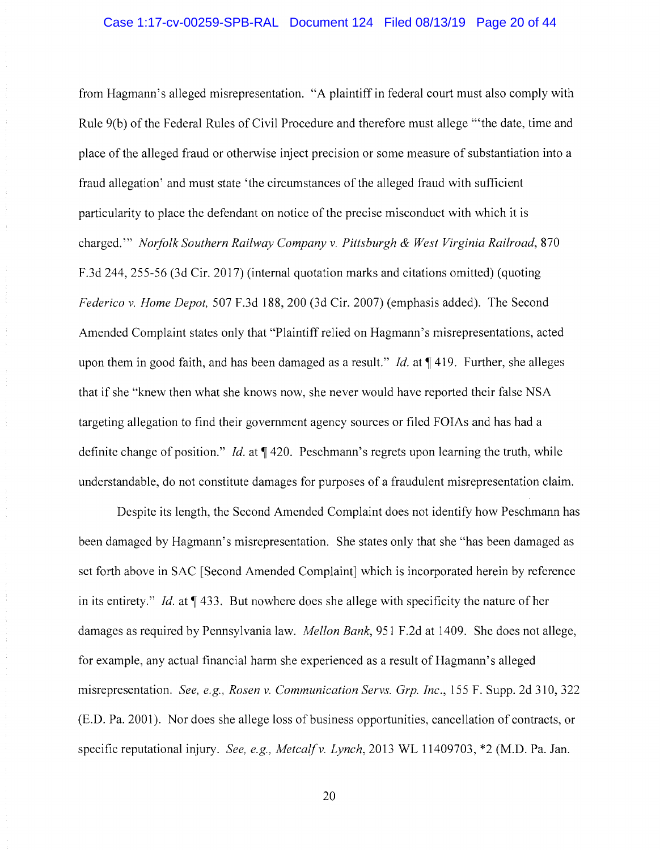from Hagmann' s alleged misrepresentation. "A plaintiff in federal court must also comply with Rule 9(b) of the Federal Rules of Civil Procedure and therefore must allege "'the date, time and place of the alleged fraud or otherwise inject precision or some measure of substantiation into a fraud allegation' and must state 'the circumstances of the alleged fraud with sufficient particularity to place the defendant on notice of the precise misconduct with which it is charged."' *Norfolk Southern Railway Company v. Pittsburgh & West Virginia Railroad,* 870 F.3d 244, 255-56 (3d Cir. 2017) (internal quotation marks and citations omitted) (quoting *Federico v. Home Depot,* 507 F.3d 188,200 (3d Cir. 2007) (emphasis added). The Second Amended Complaint states only that "Plaintiff relied on Hagmann' s misrepresentations, acted upon them in good faith, and has been damaged as a result." *Id.* at  $\P$  419. Further, she alleges that if she "knew then what she knows now, she never would have reported their false NSA targeting allegation to find their government agency sources or filed FOIAs and has had a definite change of position." *Id.* at  $\P$  420. Peschmann's regrets upon learning the truth, while understandable, do not constitute damages for purposes of a fraudulent misrepresentation claim.

Despite its length, the Second Amended Complaint does not identify how Peschmann has been damaged by Hagmann's misrepresentation. She states only that she "has been damaged as set forth above in SAC [Second Amended Complaint] which is incorporated herein by reference in its entirety." *Id.* at  $\P$  433. But nowhere does she allege with specificity the nature of her damages as required by Pennsylvania law. *Mellon Bank,* 951 F.2d at 1409. She does not allege, for example, any actual financial harm she experienced as a result of Hagmann's alleged misrepresentation. *See, e.g., Rosen v. Communication Servs. Grp. Inc.,* 155 F. Supp. 2d 310, 322 (E.D. Pa. 2001 ). Nor does she allege loss of business opportunities, cancellation of contracts, or specific reputational injury. *See, e.g., Metcalf v. Lynch,* 2013 WL 11409703, \*2 (M.D. Pa. Jan.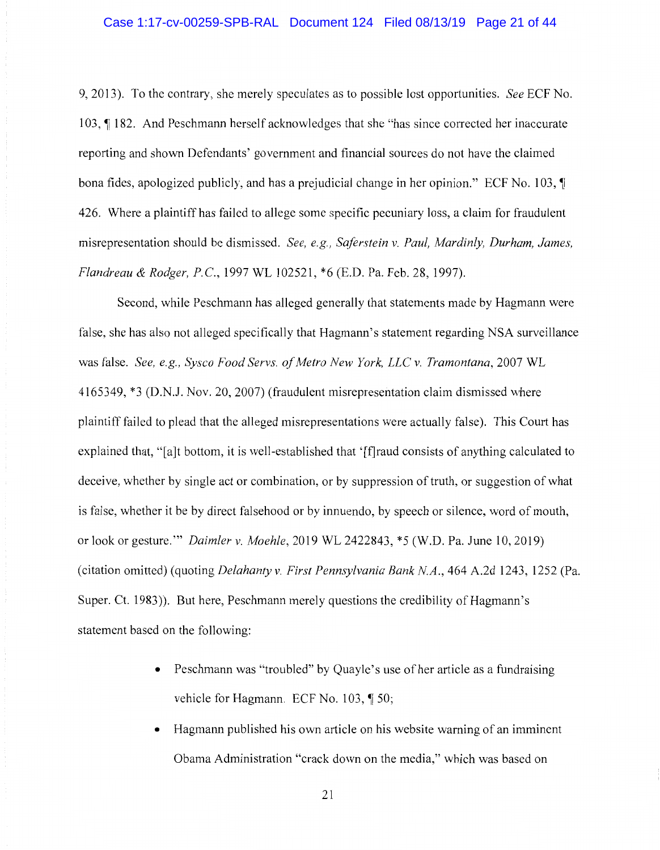## Case 1:17-cv-00259-SPB-RAL Document 124 Filed 08/13/19 Page 21 of 44

9, 2013). To the contrary, she merely speculates as to possible lost opportunities. *See* ECF No. 103, ¶182. And Peschmann herself acknowledges that she "has since corrected her inaccurate reporting and shown Defendants' government and financial sources do not have the claimed bona fides, apologized publicly, and has a prejudicial change in her opinion." ECF No. 103,  $\P$ 426. Where a plaintiff has failed to allege some specific pecuniary loss, a claim for fraudulent misrepresentation should be dismissed. *See, e.g., Saferstein v. Paul, Mardinly, Durham, James, Flandreau & Rodger, P.* C., 1997 WL 102521, \*6 (E.D. Pa. Feb. 28, 1997).

Second, while Peschmann has alleged generally that statements made by Hagmann were false, she has also not alleged specifically that Hagmann's statement regarding NSA surveillance was false. *See, e.g., Sysco Food Servs. of Metro New York, LLC v. Tramontana,* 2007 WL 4165349, \*3 (D.N.J. Nov. 20, 2007) (fraudulent misrepresentation claim dismissed where plaintiff failed to plead that the alleged misrepresentations were actually false). This Court has explained that, "[a]t bottom, it is well-established that '[f] raud consists of anything calculated to deceive, whether by single act or combination, or by suppression of truth, or suggestion of what is false, whether it be by direct falsehood or by innuendo, by speech or silence, word of mouth, or look or gesture."' *Daimler v. Moehle,* 2019 WL 2422843, \*5 (W.D. Pa. June 10, 2019) (citation omitted) (quoting *Delahanty v. First Pennsylvania Bank NA.,* 464 A.2d 1243, 1252 (Pa. Super. Ct. 1983)). But here, Peschmann merely questions the credibility of Hagmann's statement based on the following:

- Peschmann was "troubled" by Quayle's use of her article as a fundraising vehicle for Hagmann. ECF No.  $103$ ,  $\sqrt{ }$  50;
- Hagmann published his own article on his website warning of an imminent Obama Administration "crack down on the media," which was based on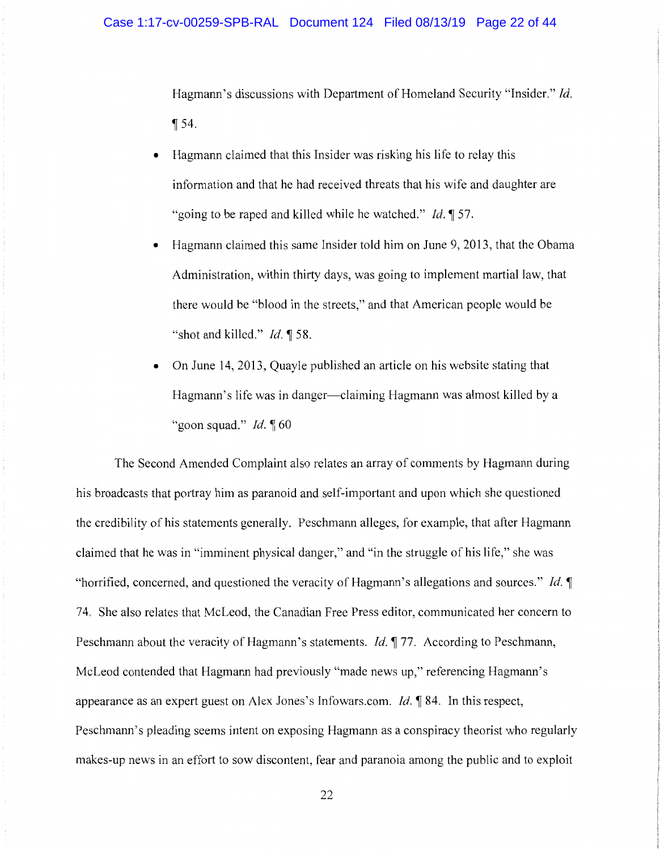Hagmann's discussions with Department of Homeland Security "Insider." Id.  $\P$ 54.

- Hagmann claimed that this Insider was risking his life to relay this information and that he had received threats that his wife and daughter are "going to be raped and killed while he watched." *Id.* 157.
- Hagmann claimed this same Insider told him on June 9, 2013, that the Obama Administration, within thirty days, was going to implement martial law, that there would be "blood in the streets," and that American people would be "shot and killed." *Id.* 158.
- On June 14, 2013, Quayle published an article on his website stating that Hagmann's life was in danger—claiming Hagmann was almost killed by a "goon squad." *Id.* 160

The Second Amended Complaint also relates an array of comments by Hagmann during his broadcasts that portray him as paranoid and self-important and upon which she questioned the credibility of his statements generally. Peschmann alleges, for example, that after Hagmann claimed that he was in "imminent physical danger," and "in the struggle of his life," she was "horrified, concerned, and questioned the veracity of Hagmann's allegations and sources." *Id.* 74. She also relates that McLeod, the Canadian Free Press editor, communicated her concern to Peschmann about the veracity of Hagmann's statements. *Id.* **177.** According to Peschmann, McLeod contended that Hagmann had previously "made news up," referencing Hagmann's appearance as an expert guest on Alex Jones's Infowars.com. *Id.* 184. In this respect, Peschmann's pleading seems intent on exposing Hagmann as a conspiracy theorist who regularly makes-up news in an effort to sow discontent, fear and paranoia among the public and to exploit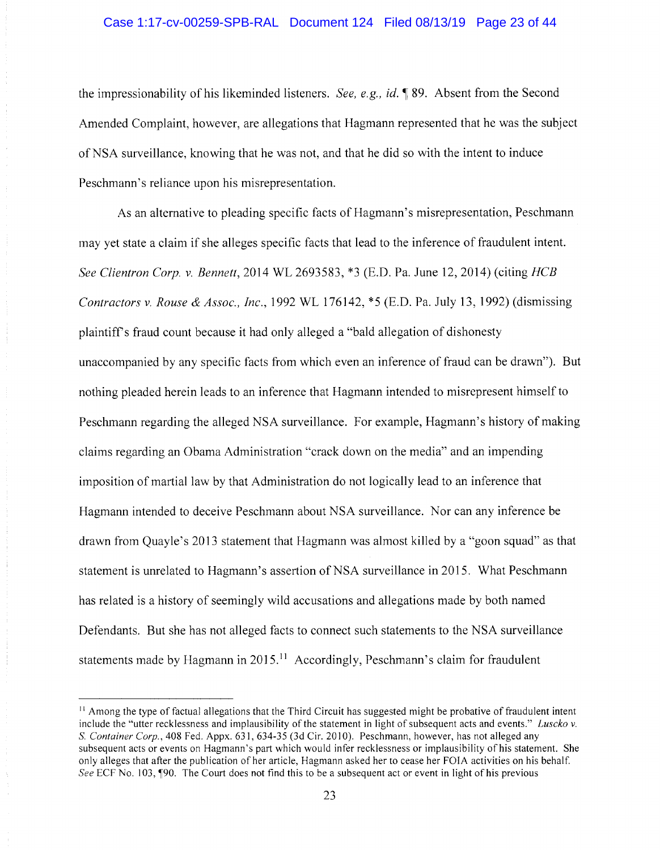# Case 1:17-cv-00259-SPB-RAL Document 124 Filed 08/13/19 Page 23 of 44

the impressionability of his likeminded listeners. *See, e.g., id.* **189.** Absent from the Second Amended Complaint, however, are allegations that Hagmann represented that he was the subject of NSA surveillance, knowing that he was not, and that he did so with the intent to induce Peschmann's reliance upon his misrepresentation.

As an alternative to pleading specific facts of Hagmann's misrepresentation, Peschmann may yet state a claim if she alleges specific facts that lead to the inference of fraudulent intent. *See Clientron Corp. v. Bennett,* 2014 WL 2693583, \*3 (E.D. Pa. June 12, 2014) (citing *HCB Contractors v. Rouse & Assoc., Inc.,* 1992 WL 176142, \*5 (E.D. Pa. July 13, 1992) (dismissing plaintiffs fraud count because it had only alleged a "bald allegation of dishonesty unaccompanied by any specific facts from which even an inference of fraud can be drawn"). But nothing pleaded herein leads to an inference that Hagmann intended to misrepresent himself to Peschmann regarding the alleged NSA surveillance. For example, Hagmann's history of making claims regarding an Obama Administration "crack down on the media" and an impending imposition of martial law by that Administration do not logically lead to an inference that Hagmann intended to deceive Peschmann about NSA surveillance. Nor can any inference be drawn from Quayle's 2013 statement that Hagmann was almost killed by a "goon squad" as that statement is unrelated to Hagmann's assertion of NSA surveillance in 2015. What Peschmann has related is a history of seemingly wild accusations and allegations made by both named Defendants. But she has not alleged facts to connect such statements to the NSA surveillance statements made by Hagmann in 2015.<sup>11</sup> Accordingly, Peschmann's claim for fraudulent

<sup>&</sup>lt;sup>11</sup> Among the type of factual allegations that the Third Circuit has suggested might be probative of fraudulent intent include the "utter recklessness and implausibility of the statement in light of subsequent acts and events." *luscko v.*  S. Container Corp., 408 Fed. Appx. 631, 634-35 (3d Cir. 2010). Peschmann, however, has not alleged any subsequent acts or events on Hagmann's part which would infer recklessness or implausibility of his statement. She only alleges that after the publication of her article, Hagmann asked her to cease her FOIA activities on his behalf. *See* ECF No. 103, 190. The Court does not find this to be a subsequent act or event in light of his previous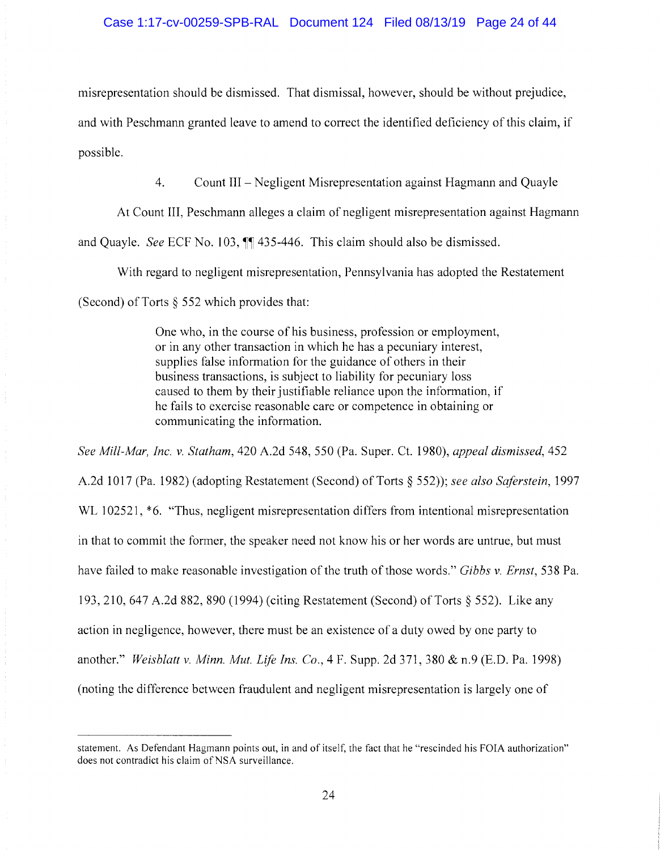misrepresentation should be dismissed. That dismissal, however, should be without prejudice,

and with Peschmann granted leave to amend to correct the identified deficiency of this claim, if possible.

4. Count III - Negligent Misrepresentation against Hagmann and Quayle

At Count III, Peschmann alleges a claim of negligent misrepresentation against Hagmann and Quayle. *See* ECF No. 103,  $\mathbb{I}$  435-446. This claim should also be dismissed.

With regard to negligent misrepresentation, Pennsylvania has adopted the Restatement

(Second) of Torts § 552 which provides that:

One who, in the course of his business, profession or employment, or in any other transaction in which he has a pecuniary interest, supplies false information for the guidance of others in their business transactions, is subject to liability for pecuniary loss caused to them by their justifiable reliance upon the information, if he fails to exercise reasonable care or competence in obtaining or communicating the information.

*See Mill-Mar, Inc. v. Statham,* 420 A.2d 548, 550 (Pa. Super. Ct. 1980), *appeal dismissed,* 452 A.2d 1017 (Pa. 1982) (adopting Restatement (Second) of Torts § 552)); *see also Safer stein,* 1997 WL 102521,  $*6$ . "Thus, negligent misrepresentation differs from intentional misrepresentation in that to commit the former, the speaker need not know his or her words are untrue, but must have failed to make reasonable investigation of the truth of those words." *Gibbs v. Ernst,* 538 Pa. 193,210, 647 A.2d 882, 890 (1994) (citing Restatement (Second) of Torts§ 552). Like any action in negligence, however, there must be an existence of a duty owed by one party to another." *Weisblatt v. Minn. Mut. Life Ins. Co.,* 4 F. Supp. 2d 371, 380 & n.9 (E.D. Pa. 1998) (noting the difference between fraudulent and negligent misrepresentation is largely one of

statement. As Defendant Hagmann points out, in and of itself, the fact that he "rescinded his FOIA authorization" does not contradict his claim of NSA surveillance.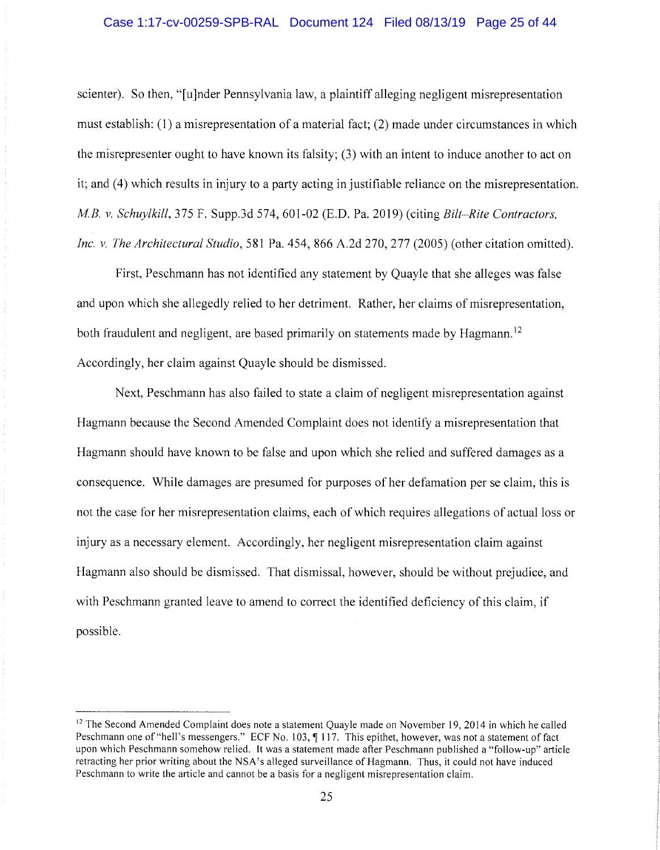# Case 1:17-cv-00259-SPB-RAL Document 124 Filed 08/13/19 Page 25 of 44

scienter). So then, "[u]nder Pennsylvania law, a plaintiff alleging negligent misrepresentation must establish: (1) a misrepresentation of a material fact; (2) made under circumstances in which the misrepresenter ought to have known its falsity; (3) with an intent to induce another to act on it; and (4) which results in injury to a party acting in justifiable reliance on the misrepresentation. *M.B. v. Schuylkill, 375 F. Supp.3d 574, 601-02 (E.D. Pa. 2019) (citing Bilt-Rite Contractors, Inc. v. The Architectural Studio,* 581 Pa. 454, 866 A.2d 270, 277 (2005) (other citation omitted).

First, Peschmann has not identified any statement by Quayle that she alleges was false and upon which she allegedly relied to her detriment. Rather, her claims of misrepresentation, both fraudulent and negligent, are based primarily on statements made by Hagmann.<sup>12</sup> Accordingly, her claim against Quayle should be dismissed.

Next, Peschmann has also failed to state a claim of negligent misrepresentation against Hagmann because the Second Amended Complaint does not identify a misrepresentation that Hagmann should have known to be false and upon which she relied and suffered damages as a consequence. While damages are presumed for purposes of her defamation per se claim, this is not the case for her misrepresentation claims, each of which requires allegations of actual loss or injury as a necessary element. Accordingly, her negligent misrepresentation claim against Hagmann also should be dismissed. That dismissal, however, should be without prejudice, and with Peschmann granted leave to amend to correct the identified deficiency of this claim, if possible.

<sup>&</sup>lt;sup>12</sup> The Second Amended Complaint does note a statement Quayle made on November 19, 2014 in which he called Peschmann one of "hell's messengers." ECF No. 103,  $\parallel$  117. This epithet, however, was not a statement of fact upon which Peschmann somehow relied. It was a statement made after Peschmann published a "follow-up" article retracting her prior writing about the NSA's alleged surveillance of Hagmann. Thus, it could not have induced Peschmann to write the article and cannot be a basis for a negligent misrepresentation claim.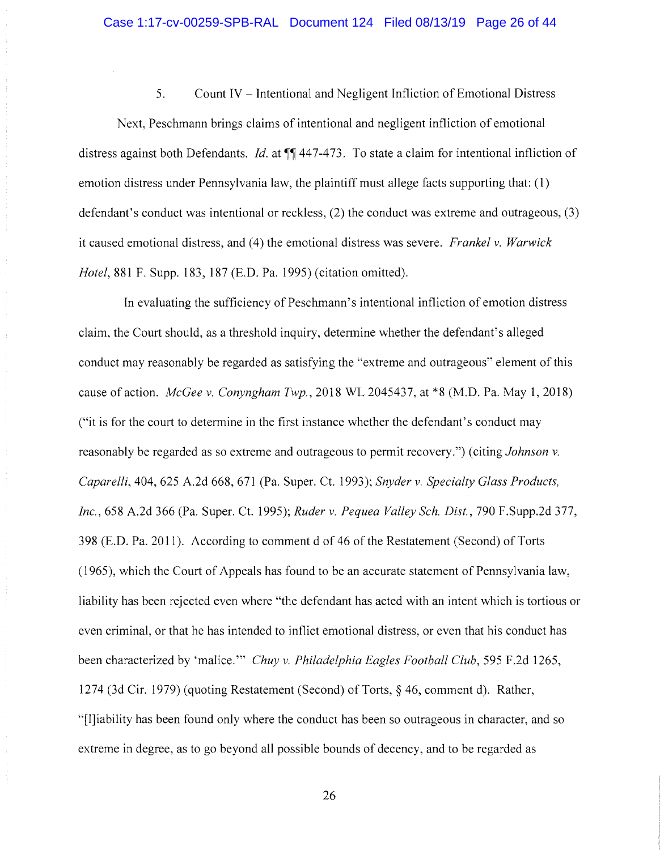5. Count IV - Intentional and Negligent Infliction of Emotional Distress

Next, Peschmann brings claims of intentional and negligent infliction of emotional distress against both Defendants. *Id.* at **11** 447-473. To state a claim for intentional infliction of emotion distress under Pennsylvania law, the plaintiff must allege facts supporting that: (1) defendant's conduct was intentional or reckless, (2) the conduct was extreme and outrageous, (3) it caused emotional distress, and ( 4) the emotional distress was severe. *Frankel v. Warwick Hotel,* 881 F. Supp. 183, 187 (E.D. Pa. 1995) (citation omitted).

In evaluating the sufficiency of Peschmann's intentional infliction of emotion distress claim, the Court should, as a threshold inquiry, determine whether the defendant's alleged conduct may reasonably be regarded as satisfying the "extreme and outrageous" element of this cause of action. *McGee v. Conyngham Twp.,* 2018 WL 2045437, at \*8 (M.D. Pa. May 1, 2018) ("it is for the court to determine in the first instance whether the defendant's conduct may reasonably be regarded as so extreme and outrageous to permit recovery.") (citing *Johnson v. Caparelli,* 404, 625 A.2d 668, 671 (Pa. Super. Ct. 1993); *Snyder v. Specialty Glass Products, Inc.,* 658 A.2d 366 (Pa. Super. Ct. 1995); *Ruder v. Pequea Valley Sch. Dist.,* 790 F.Supp.2d 377, 398 (E.D. Pa. 2011). According to comment d of 46 of the Restatement (Second) of Torts (1965), which the Court of Appeals has found to be an accurate statement of Pennsylvania law, liability has been rejected even where "the defendant has acted with an intent which is tortious or even criminal, or that he has intended to inflict emotional distress, or even that his conduct has been characterized by 'malice."' *Chuy v. Philadelphia Eagles Football Club,* 595 F.2d 1265, 1274 (3d Cir. 1979) (quoting Restatement (Second) of Torts,§ 46, comment d). Rather, "[l]iability has been found only where the conduct has been so outrageous in character, and so extreme in degree, as to go beyond all possible bounds of decency, and to be regarded as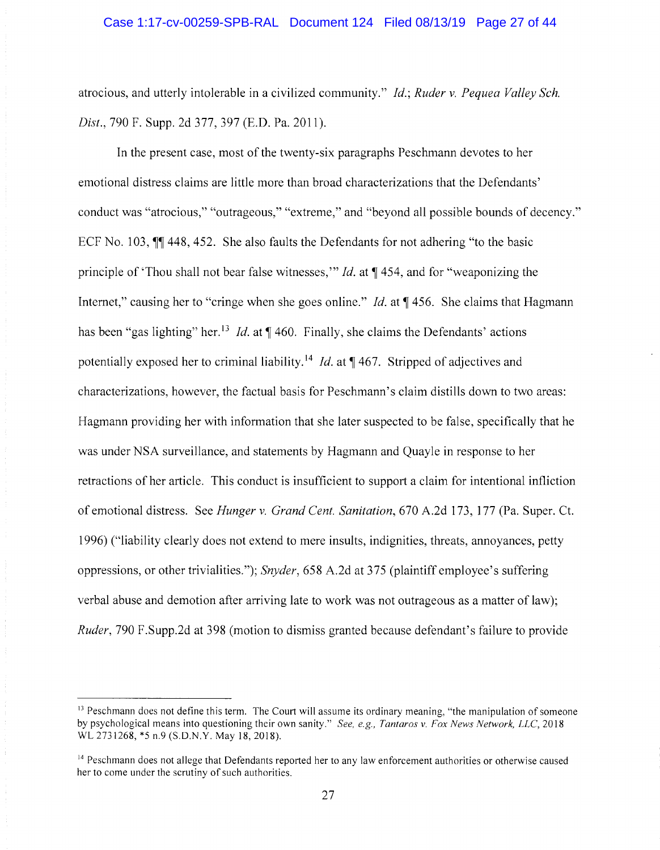atrocious, and utterly intolerable in a civilized community." *Id.; Ruder v. Pequea Valley Sch. Dist.,* 790 F. Supp. 2d 377,397 (E.D. Pa. 2011).

In the present case, most of the twenty-six paragraphs Peschmann devotes to her emotional distress claims are little more than broad characterizations that the Defendants' conduct was "atrocious," "outrageous," "extreme," and "beyond all possible bounds of decency." ECF No. 103,  $\parallel$  **448, 452.** She also faults the Defendants for not adhering "to the basic principle of 'Thou shall not bear false witnesses,'" *Id.* at  $\P$  454, and for "weaponizing the Internet," causing her to "cringe when she goes online." *Id.* at **1456.** She claims that Hagmann has been "gas lighting" her.<sup>13</sup> *Id.* at  $\P$  460. Finally, she claims the Defendants' actions potentially exposed her to criminal liability.<sup>14</sup> *Id.* at **1**467. Stripped of adjectives and characterizations, however, the factual basis for Peschmann's claim distills down to two areas: Hagmann providing her with information that she later suspected to be false, specifically that he was under NSA surveillance, and statements by Hagmann and Quayle in response to her retractions of her article. This conduct is insufficient to support a claim for intentional infliction of emotional distress. See *Hunger v. Grand Cent. Sanitation,* 670 A.2d 173, 177 (Pa. Super. Ct. 1996) ("liability clearly does not extend to mere insults, indignities, threats, annoyances, petty oppressions, or other trivialities."); *Snyder,* 658 A.2d at 375 (plaintiff employee's suffering verbal abuse and demotion after arriving late to work was not outrageous as a matter of law); *Ruder,* 790 F.Supp.2d at 398 (motion to dismiss granted because defendant's failure to provide

<sup>&</sup>lt;sup>13</sup> Peschmann does not define this term. The Court will assume its ordinary meaning, "the manipulation of someone by psychological means into questioning their own sanity." *See, e.g., Tantaros v. Fox News Network, LLC*, 2018 WL 2731268, \*5 n.9 (S.D.N.Y. May 18, 2018).

<sup>&</sup>lt;sup>14</sup> Peschmann does not allege that Defendants reported her to any law enforcement authorities or otherwise caused her to come under the scrutiny of such authorities.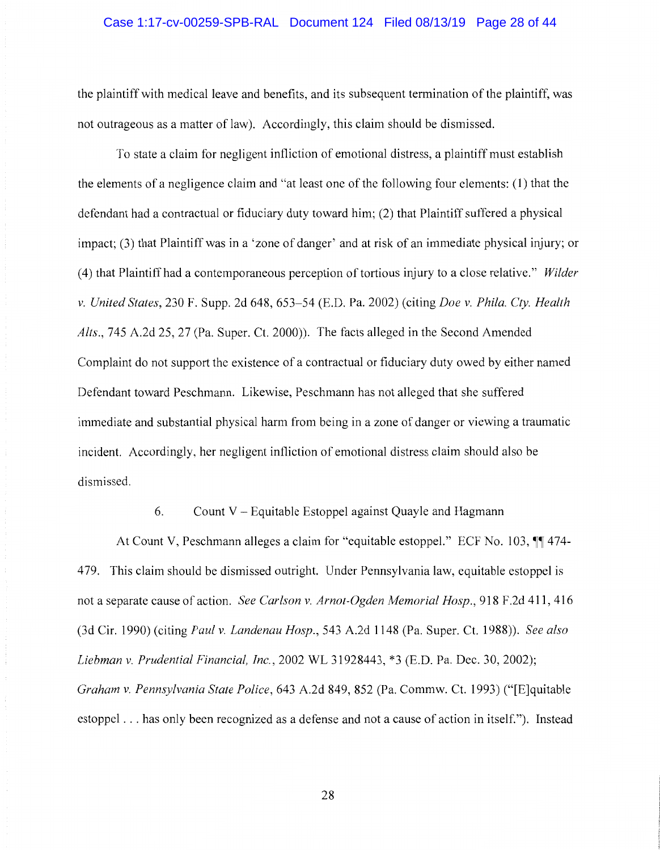## Case 1:17-cv-00259-SPB-RAL Document 124 Filed 08/13/19 Page 28 of 44

the plaintiff with medical leave and benefits, and its subsequent termination of the plaintiff, was not outrageous as a matter of law). Accordingly, this claim should be dismissed.

To state a claim for negligent infliction of emotional distress, a plaintiff must establish the elements of a negligence claim and "at least one of the following four elements: (1) that the defendant had a contractual or fiduciary duty toward him; (2) that Plaintiff suffered a physical impact; (3) that Plaintiff was in a 'zone of danger' and at risk of an immediate physical injury; or ( 4) that Plaintiff had a contemporaneous perception of tortious injury to a close relative." *Wilder v. United States,* 230 F. Supp. 2d 648, 653-54 (E.D. Pa. 2002) (citing *Doe v. Phila. Cty. Health Alts.,* 745 A.2d 25, 27 (Pa. Super. Ct. 2000)). The facts alleged in the Second Amended Complaint do not support the existence of a contractual or fiduciary duty owed by either named Defendant toward Peschmann. Likewise, Peschmann has not alleged that she suffered immediate and substantial physical harm from being in a zone of danger or viewing a traumatic incident. Accordingly, her negligent infliction of emotional distress claim should also be dismissed.

6. Count V - Equitable Estoppel against Quayle and Hagmann

At Count V, Peschmann alleges a claim for "equitable estoppel." ECF No. 103,  $\P$  474-4 79. This claim should be dismissed outright. Under Pennsylvania law, equitable estoppel is not a separate cause of action. *See Carlson v. Arnot-Ogden Memorial Hosp.*, 918 F.2d 411, 416 (3d Cir. 1990) (citing *Paul v. Landenau Hosp.,* 543 A.2d 1148 (Pa. Super. Ct. 1988)). *See also Liebman v. Prudential Financial, Inc.,* 2002 WL 31928443, \*3 (E.D. Pa. Dec. 30, 2002); *Graham v. Pennsylvania State Police,* 643 A.2d 849, 852 (Pa. Commw. Ct. 1993) ("[E]quitable estoppel ... has only been recognized as a defense and not a cause of action in itself."). Instead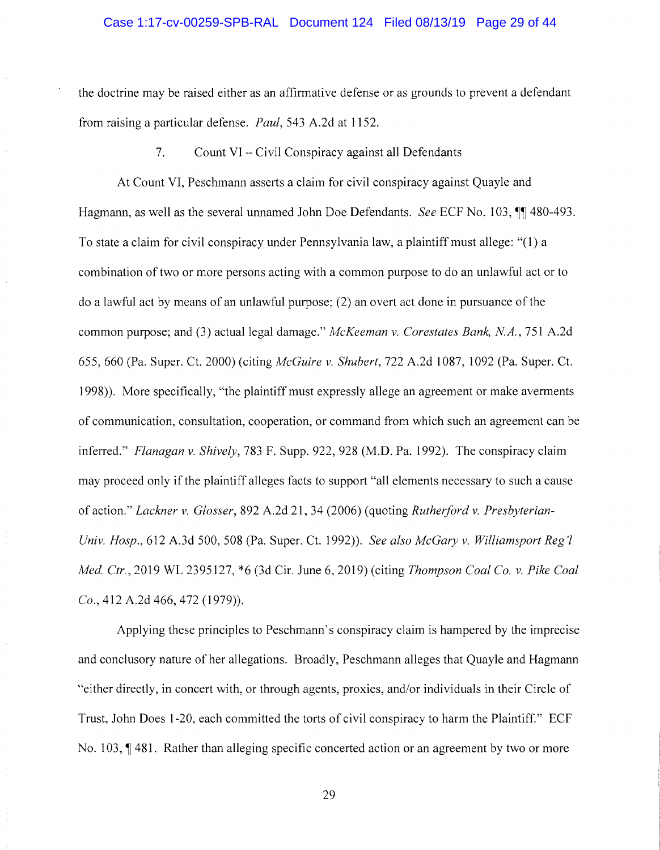the doctrine may be raised either as an affirmative defense or as grounds to prevent a defendant from raising a particular defense. *Paul,* 543 A.2d at 1152.

7. Count VI - Civil Conspiracy against all Defendants

At Count VI, Peschmann asserts a claim for civil conspiracy against Quayle and Hagmann, as well as the several unnamed John Doe Defendants. *See* ECF No. 103,  $\P$  480-493. To state a claim for civil conspiracy under Pennsylvania law, a plaintiff must allege: "(1) a combination of two or more persons acting with a common purpose to do an unlawful act or to do a lawful act by means of an unlawful purpose; (2) an overt act done in pursuance of the common purpose; and (3) actual legal damage." *McKeeman v. Corestates Bank, NA.,* 751 A.2d 655,660 (Pa. Super. Ct. 2000) (citing *McGuire v. Shubert,* 722 A.2d 1087, 1092 (Pa. Super. Ct. 1998)). More specifically, "the plaintiff must expressly allege an agreement or make averments of communication, consultation, cooperation, or command from which such an agreement can be inferred." *Flanagan v. Shively,* 783 F. Supp. 922, 928 (M.D. Pa. 1992). The conspiracy claim may proceed only if the plaintiff alleges facts to support "all elements necessary to such a cause of action." *Lackner v. Glosser,* 892 A.2d 21, 34 (2006) ( quoting *Rutherford v. Presbyterian-Univ. Hosp.,* 612 A.3d 500, 508 (Pa. Super. Ct. 1992)). *See also McGary v. Williamsport Reg'! Med. Ctr.,* 2019 WL 2395127, \*6 (3d Cir. June 6, 2019) (citing *Thompson Coal Co. v. Pike Coal Co.,* 412 A.2d 466,472 (1979)).

Applying these principles to Peschmann's conspiracy claim is hampered by the imprecise and conclusory nature of her allegations. Broadly, Peschmann alleges that Quayle and Hagmann "either directly, in concert with, or through agents, proxies, and/or individuals in their Circle of Trust, John Does 1-20, each committed the torts of civil conspiracy to harm the Plaintiff." ECF No. 103, 1481. Rather than alleging specific concerted action or an agreement by two or more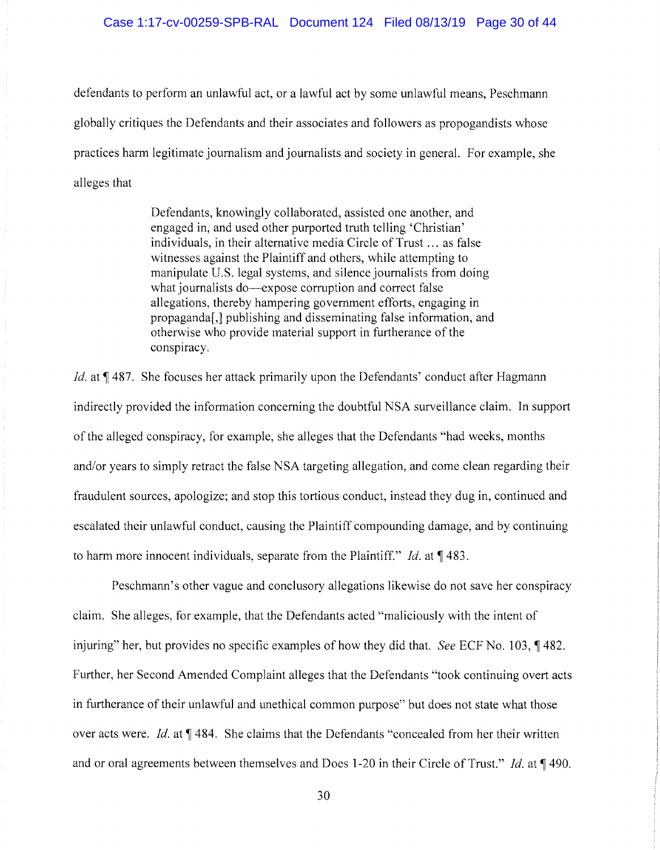## Case 1:17-cv-00259-SPB-RAL Document 124 Filed 08/13/19 Page 30 of 44

defendants to perform an unlawful act, or a lawful act by some unlawful means, Peschmann globally critiques the Defendants and their associates and followers as propogandists whose practices harm legitimate journalism and journalists and society in general. For example, she alleges that

> Defendants, knowingly collaborated, assisted one another, and engaged in, and used other purported truth telling 'Christian' individuals, in their alternative media Circle of Trust ... as false witnesses against the Plaintiff and others, while attempting to manipulate U.S. legal systems, and silence journalists from doing what journalists do—expose corruption and correct false allegations, thereby hampering government efforts, engaging in propaganda[,] publishing and disseminating false information, and otherwise who provide material support in furtherance of the conspiracy.

*Id.* at 1487. She focuses her attack primarily upon the Defendants' conduct after Hagmann indirectly provided the information concerning the doubtful NSA surveillance claim. In support of the alleged conspiracy, for example, she alleges that the Defendants "had weeks, months and/or years to simply retract the false NSA targeting allegation, and come clean regarding their fraudulent sources, apologize; and stop this tortious conduct, instead they dug in, continued and escalated their unlawful conduct, causing the Plaintiff compounding damage, and by continuing to harm more innocent individuals, separate from the Plaintiff." *Id.* at 1483.

Peschmann's other vague and conclusory allegations likewise do not save her conspiracy claim. She alleges, for example, that the Defendants acted "maliciously with the intent of injuring" her, but provides no specific examples of how they did that. *See* ECF No. 103, ¶482. Further, her Second Amended Complaint alleges that the Defendants "took continuing overt acts in furtherance of their unlawful and unethical common purpose" but does not state what those over acts were. *Id.* at  $\P$  484. She claims that the Defendants "concealed from her their written and or oral agreements between themselves and Does 1-20 in their Circle of Trust." *Id.* at 1490.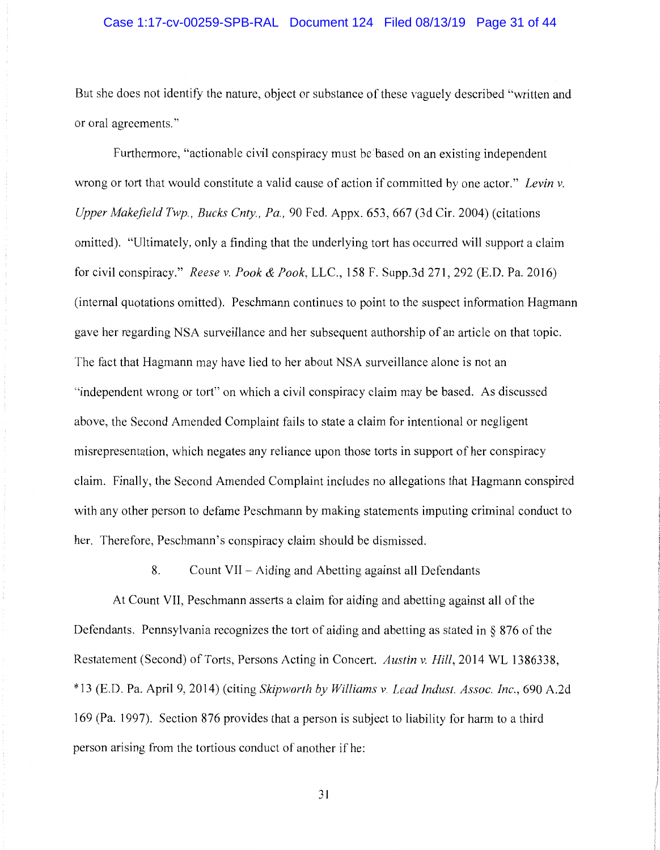# Case 1:17-cv-00259-SPB-RAL Document 124 Filed 08/13/19 Page 31 of 44

But she does not identify the nature, object or substance of these vaguely described "written and or oral agreements."

Furthermore, "actionable civil conspiracy must be based on an existing independent wrong or tort that would constitute a valid cause of action if committed by one actor." *Levin v. Upper Makefield Twp., Bucks Cnty., Pa.,* 90 Fed. Appx. 653, 667 (3d Cir. 2004) (citations omitted). "Ultimately, only a finding that the underlying tort has occurred will support a claim for civil conspiracy." *Reese v. Pook & Pook,* LLC., 158 F. Supp.3d 271, 292 (E.D. Pa. 2016) (internal quotations omitted). Peschmann continues to point to the suspect information Hagmann gave her regarding NSA surveillance and her subsequent authorship of an article on that topic. The fact that Hagmann may have lied to her about NSA surveillance alone is not an "independent wrong or tort" on which a civil conspiracy claim may be based. As discussed above, the Second Amended Complaint fails to state a claim for intentional or negligent misrepresentation, which negates any reliance upon those torts in support of her conspiracy claim. Finally, the Second Amended Complaint includes no allegations that Hagmann conspired with any other person to defame Peschmann by making statements imputing criminal conduct to her. Therefore, Peschmann's conspiracy claim should be dismissed.

8. Count VII - Aiding and Abetting against all Defendants

At Count VII, Peschmann asserts a claim for aiding and abetting against all of the Defendants. Pennsylvania recognizes the tort of aiding and abetting as stated in § 876 of the Restatement (Second) of Torts, Persons Acting in Concert. *Austin v. Hill,* 2014 WL 1386338, \*13 (E.D. Pa. April 9, 2014) (citing *Skipworth by Williams v. Lead Indust. Assoc. Inc.,* 690 A.2d 169 (Pa. 1997). Section 876 provides that a person is subject to liability for harm to a third person arising from the tortious conduct of another if he: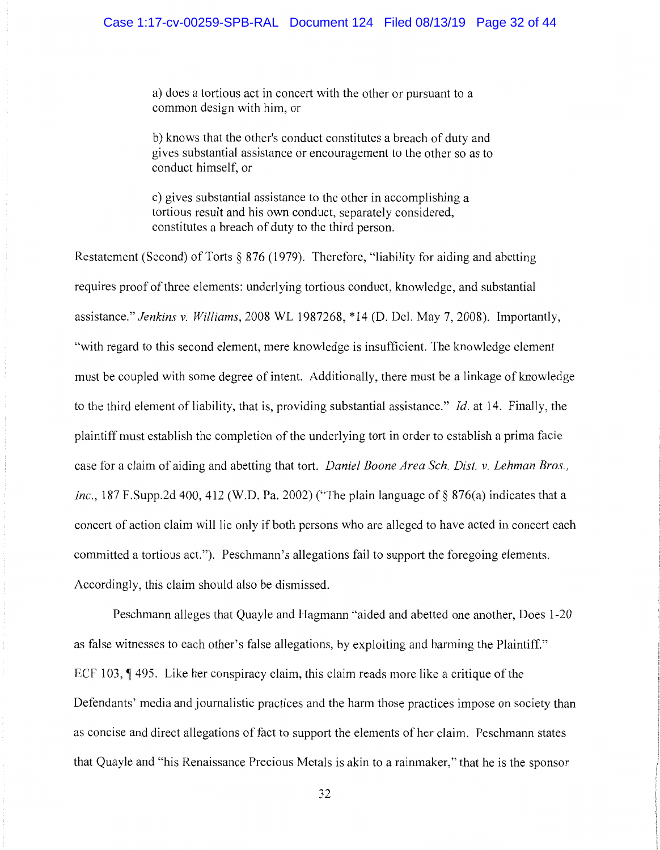a) does a tortious act in concert with the other or pursuant to a common design with him, or

b) knows that the other's conduct constitutes a breach of duty and gives substantial assistance or encouragement to the other so as to conduct himself, or

c) gives substantial assistance to the other in accomplishing a tortious result and his own conduct, separately considered, constitutes a breach of duty to the third person.

Restatement (Second) of Torts § 876 (1979). Therefore, "liability for aiding and abetting requires proof of three elements: underlying tortious conduct, knowledge, and substantial assistance." *Jenkins v. Williams,* 2008 WL 1987268, \* 14 (D. Del. May 7, 2008). Importantly, "with regard to this second element, mere knowledge is insufficient. The knowledge element must be coupled with some degree of intent. Additionally, there must be a linkage of knowledge to the third element of liability, that is, providing substantial assistance." *Id.* at 14. Finally, the plaintiff must establish the completion of the underlying tort in order to establish a prima facie case for a claim of aiding and abetting that tort. *Daniel Boone Area Sch. Dist. v. Lehman Bros., Inc.*, 187 F.Supp.2d 400, 412 (W.D. Pa. 2002) ("The plain language of § 876(a) indicates that a concert of action claim will lie only if both persons who are alleged to have acted in concert each committed a tortious act."). Peschmann's allegations fail to support the foregoing elements. Accordingly, this claim should also be dismissed.

Peschmann alleges that Quayle and Hagmann "aided and abetted one another, Does 1-20 as false witnesses to each other's false allegations, by exploiting and harming the Plaintiff." ECF 103,  $\parallel$  495. Like her conspiracy claim, this claim reads more like a critique of the Defendants' media and journalistic practices and the harm those practices impose on society than as concise and direct allegations of fact to support the elements of her claim. Peschmann states that Quayle and "his Renaissance Precious Metals is akin to a rainmaker," that he is the sponsor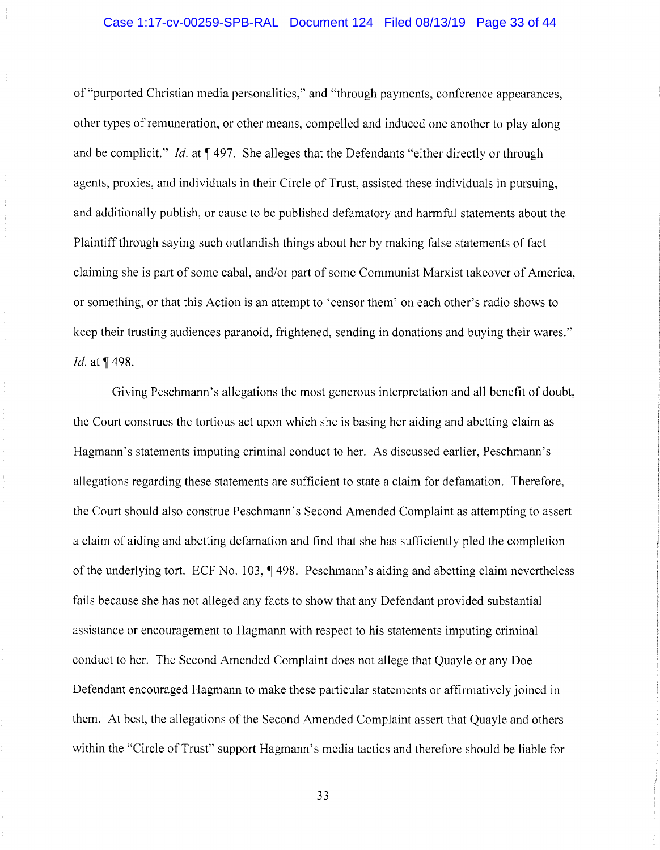## Case 1:17-cv-00259-SPB-RAL Document 124 Filed 08/13/19 Page 33 of 44

of "purported Christian media personalities," and "through payments, conference appearances, other types of remuneration, or other means, compelled and induced one another to play along and be complicit." *Id.* at  $\P$  497. She alleges that the Defendants "either directly or through agents, proxies, and individuals in their Circle of Trust, assisted these individuals in pursuing, and additionally publish, or cause to be published defamatory and harmful statements about the Plaintiff through saying such outlandish things about her by making false statements of fact claiming she is part of some cabal, and/or part of some Communist Marxist takeover of America, or something, or that this Action is an attempt to 'censor them' on each other's radio shows to keep their trusting audiences paranoid, frightened, sending in donations and buying their wares." *Id.* at  $\P$  498.

Giving Peschmann's allegations the most generous interpretation and all benefit of doubt, the Court construes the tortious act upon which she is basing her aiding and abetting claim as Hagmann's statements imputing criminal conduct to her. As discussed earlier, Peschmann's allegations regarding these statements are sufficient to state a claim for defamation. Therefore, the Court should also construe Peschmann's Second Amended Complaint as attempting to assert a claim of aiding and abetting defamation and find that she has sufficiently pled the completion of the underlying tort. ECF No.  $103$ ,  $\sqrt{98}$ . Peschmann's aiding and abetting claim nevertheless fails because she has not alleged any facts to show that any Defendant provided substantial assistance or encouragement to Hagmann with respect to his statements imputing criminal conduct to her. The Second Amended Complaint does not allege that Quayle or any Doe Defendant encouraged Hagmann to make these particular statements or affirmatively joined in them. At best, the allegations of the Second Amended Complaint assert that Quayle and others within the "Circle of Trust" support Hagmann's media tactics and therefore should be liable for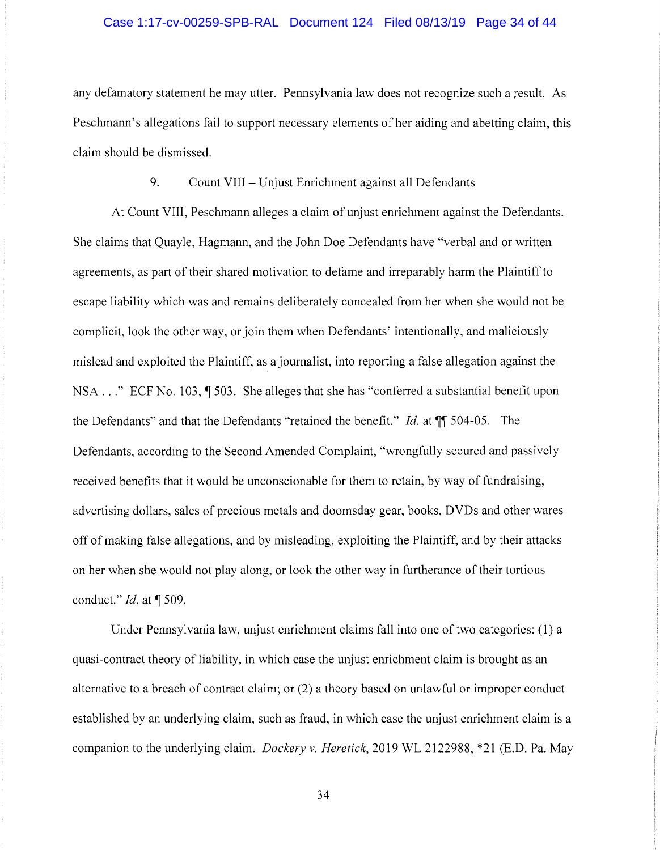# Case 1:17-cv-00259-SPB-RAL Document 124 Filed 08/13/19 Page 34 of 44

any defamatory statement he may utter. Pennsylvania law does not recognize such a result. As Peschmann's allegations fail to support necessary elements of her aiding and abetting claim, this claim should be dismissed.

# 9. Count VIII - Unjust Enrichment against all Defendants

At Count VIII, Peschmann alleges a claim of unjust enrichment against the Defendants. She claims that Quayle, Hagmann, and the John Doe Defendants have "verbal and or written agreements, as part of their shared motivation to defame and irreparably harm the Plaintiff to escape liability which was and remains deliberately concealed from her when she would not be complicit, look the other way, or join them when Defendants' intentionally, and maliciously mislead and exploited the Plaintiff, as a journalist, into reporting a false allegation against the NSA  $\ldots$  " ECF No. 103,  $\P$  503. She alleges that she has "conferred a substantial benefit upon the Defendants" and that the Defendants "retained the benefit." *Id.* at  $\P\P$  504-05. The Defendants, according to the Second Amended Complaint, "wrongfully secured and passively received benefits that it would be unconscionable for them to retain, by way of fundraising, advertising dollars, sales of precious metals and doomsday gear, books, DVDs and other wares off of making false allegations, and by misleading, exploiting the Plaintiff, and by their attacks on her when she would not play along, or look the other way in furtherance of their tortious conduct." *Id.* at ¶ 509.

Under Pennsylvania law, unjust enrichment claims fall into one of two categories: (1) a quasi-contract theory of liability, in which case the unjust enrichment claim is brought as an alternative to a breach of contract claim; or (2) a theory based on unlawful or improper conduct established by an underlying claim, such as fraud, in which case the unjust enrichment claim is a companion to the underlying claim. *Dockery v. Heretick,* 2019 WL 2122988, \*21 (E.D. Pa. May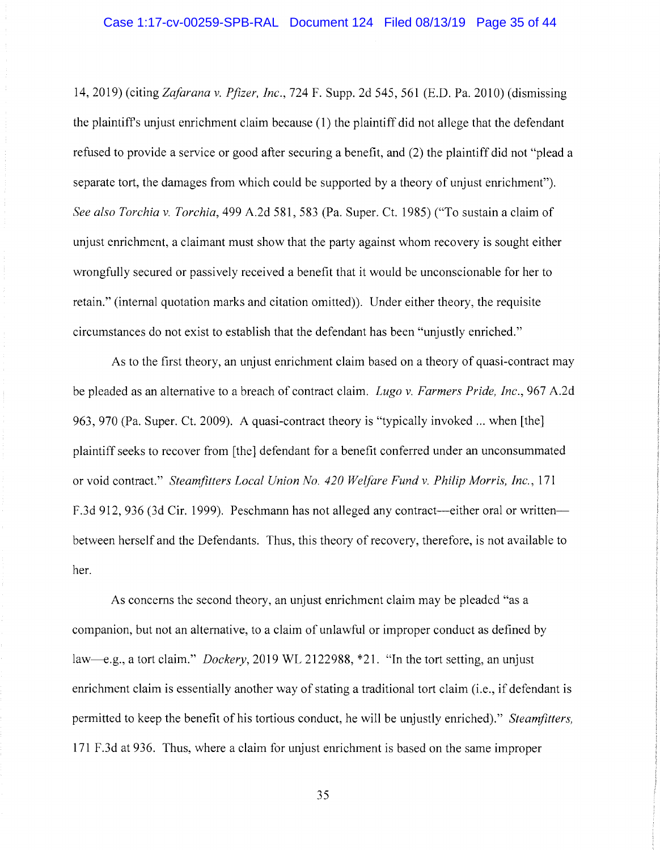14, 2019) ( citing *Zafarana v. Pfizer, Inc.,* 724 F. Supp. 2d 545, 561 (E.D. Pa. 2010) ( dismissing the plaintiffs unjust enrichment claim because ( 1) the plaintiff did not allege that the defendant refused to provide a service or good after securing a benefit, and (2) the plaintiff did not "plead a separate tort, the damages from which could be supported by a theory of unjust enrichment"). *See also Torchia v. Torchia,* 499 A.2d 581, 583 (Pa. Super. Ct. 1985) ("To sustain a claim of unjust enrichment, a claimant must show that the party against whom recovery is sought either wrongfully secured or passively received a benefit that it would be unconscionable for her to retain." (internal quotation marks and citation omitted)). Under either theory, the requisite circumstances do not exist to establish that the defendant has been "unjustly enriched."

As to the first theory, an unjust enrichment claim based on a theory of quasi-contract may be pleaded as an alternative to a breach of contract claim. *Lugo v. Farmers Pride, Inc.,* 967 A.2d 963, 970 (Pa. Super. Ct. 2009). A quasi-contract theory is "typically invoked ... when [the] plaintiff seeks to recover from [the] defendant for a benefit conferred under an unconsummated or void contract." *Steamfitters Local Union No. 420 Welfare Fund v. Philip Morris, Inc.,* 171 F.3d 912, 936 (3d Cir. 1999). Peschmann has not alleged any contract—either oral or written between herself and the Defendants. Thus, this theory of recovery, therefore, is not available to her.

As concerns the second theory, an unjust enrichment claim may be pleaded "as a companion, but not an alternative, to a claim of unlawful or improper conduct as defined by law--e.g., a tort claim." *Dockery,* 2019 WL 2122988, \*21. "In the tort setting, an unjust enrichment claim is essentially another way of stating a traditional tort claim (i.e., if defendant is permitted to keep the benefit of his tortious conduct, he will be unjustly enriched)." *Steamfitters,*  171 F.3d at 936. Thus, where a claim for unjust enrichment is based on the same improper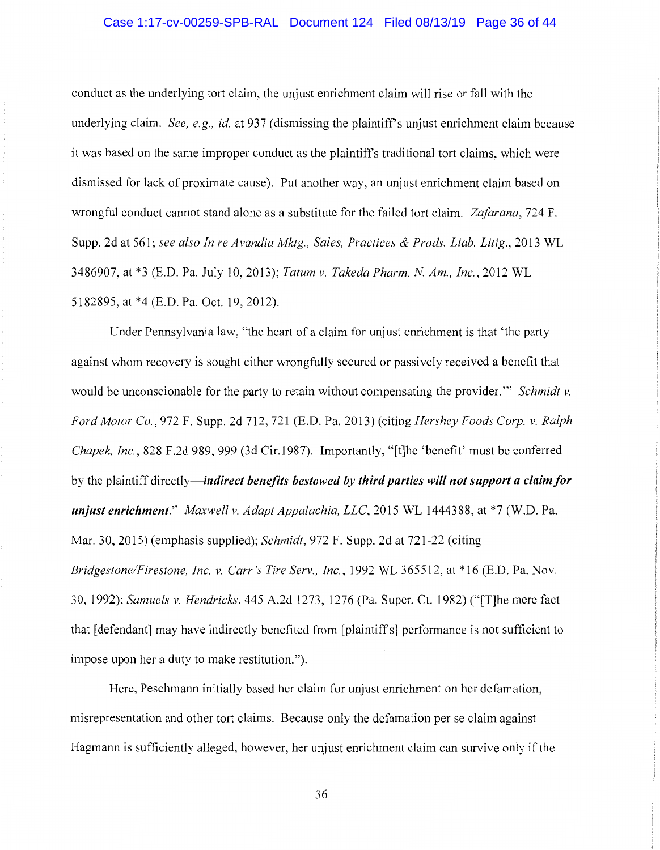# Case 1:17-cv-00259-SPB-RAL Document 124 Filed 08/13/19 Page 36 of 44

conduct as the underlying tort claim, the unjust enrichment claim will rise or fall with the underlying claim. *See, e.g., id.* at 937 (dismissing the plaintiff's unjust enrichment claim because it was based on the same improper conduct as the plaintiffs traditional tort claims, which were dismissed for lack of proximate cause). Put another way, an unjust enrichment claim based on wrongful conduct cannot stand alone as a substitute for the failed tort claim. *Zafarana,* 724 F. Supp. 2d at 561; *see also In re Avandia Mktg., Sales, Practices & Prods. Liab. Litig.,* 2013 WL 3486907, at \*3 (E.D. Pa. July 10, 2013); *Tatum v. Takeda Pharm. N Am., Inc.,* 2012 WL 5182895, at \*4 (E.D. Pa. Oct. 19, 2012).

Under Pennsylvania law, "the heart of a claim for unjust enrichment is that 'the party against whom recovery is sought either wrongfully secured or passively received a benefit that would be unconscionable for the party to retain without compensating the provider."' *Schmidt v. Ford Motor Co.,* 972 F. Supp. 2d 712, 721 (E.D. Pa. 2013) (citing *Hershey Foods Corp. v. Ralph Chapek, Inc.,* 828 F.2d 989, 999 (3d Cir.1987). Importantly, "[t]he 'benefit' must be conferred by the plaintiff *directly-indirect benefits bestowed by third parties will not support a claim/or unjust enrichment." Maxwell v. Adapt Appalachia, LLC,* 2015 WL 1444388, at \*7 (W.D. Pa. Mar. 30, 2015) (emphasis supplied); *Schmidt,* 972 F. Supp. 2d at 721-22 (citing *Bridgestone/Firestone, Inc. v. Carr's Tire Serv., Inc.,* 1992 WL 365512, at \* 16 (E.D. Pa. Nov. 30, 1992); *Samuels v. Hendricks,* 445 A.2d 1273, 1276 (Pa. Super. Ct. 1982) ("[T]he mere fact that [defendant] may have indirectly benefited from [plaintiffs] performance is not sufficient to impose upon her a duty to make restitution.").

Here, Peschmann initially based her claim for unjust enrichment on her defamation, misrepresentation and other tort claims. Because only the defamation per se claim against Hagmann is sufficiently alleged, however, her unjust enrichment claim can survive only if the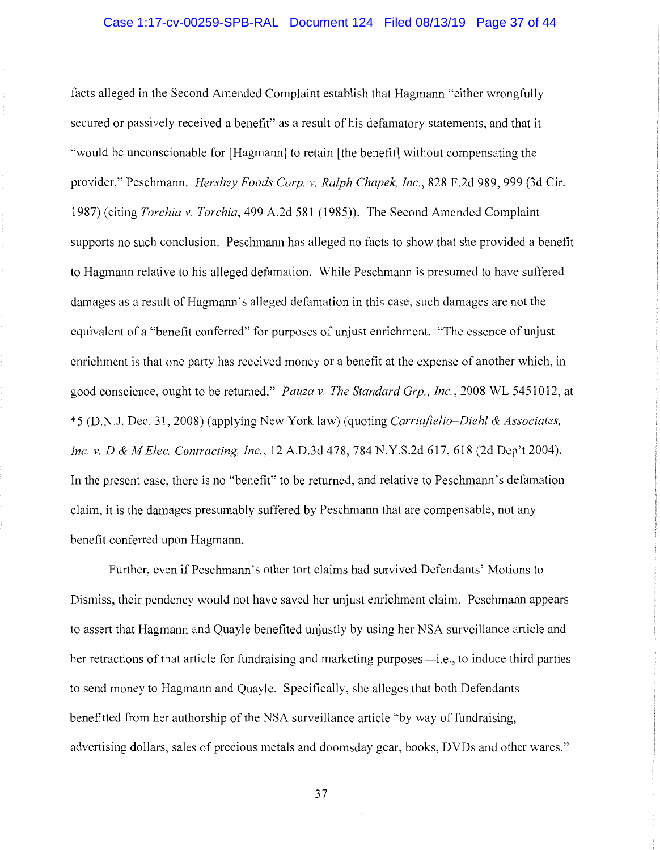facts alleged in the Second Amended Complaint establish that Hagmann "either wrongfully secured or passively received a benefit" as a result of his defamatory statements, and that it "would be unconscionable for [Hagmann] to retain [the benefit] without compensating the provider," Peschmann. *Hershey Foods Corp. v. Ralph Chapek, Inc.*, 828 F.2d 989, 999 (3d Cir. 1987) ( citing *Torchia v. Torchia,* 499 A.2d 581 ( 1985)). The Second Amended Complaint supports no such conclusion. Peschrnann has alleged no facts to show that she provided a benefit to Hagmann relative to his alleged defamation. While Peschrnann is presumed to have suffered damages as a result of Hagmann's alleged defamation in this case, such damages are not the equivalent of a "benefit conferred" for purposes of unjust enrichment. "The essence of unjust enrichment is that one party has received money or a benefit at the expense of another which, in good conscience, ought to be returned." *Pauza v. The Standard Grp., Inc.,* 2008 WL 5451012, at \* 5 (D.N.J. Dec. 31, 2008) (applying New York law) (quoting *Carriafielio-Diehl & Associates, Inc. v. D & M Elec. Contracting, Inc.,* 12 A.D.3d 478, 784 N.Y.S.2d 617,618 (2d Dep't 2004). In the present case, there is no "benefit" to be returned, and relative to Peschrnann's defamation claim, it is the damages presumably suffered by Peschrnann that are compensable, not any benefit conferred upon Hagmann.

Further, even if Peschmann's other tort claims had survived Defendants' Motions to Dismiss, their pendency would not have saved her unjust enrichment claim. Peschmann appears to assert that Hagmann and Quayle benefited unjustly by using her NSA surveillance article and her retractions of that article for fundraising and marketing purposes—i.e., to induce third parties to send money to Hagmann and Quayle. Specifically, she alleges that both Defendants benefitted from her authorship of the NSA surveillance article "by way of fundraising, advertising dollars, sales of precious metals and doomsday gear, books, DVDs and other wares."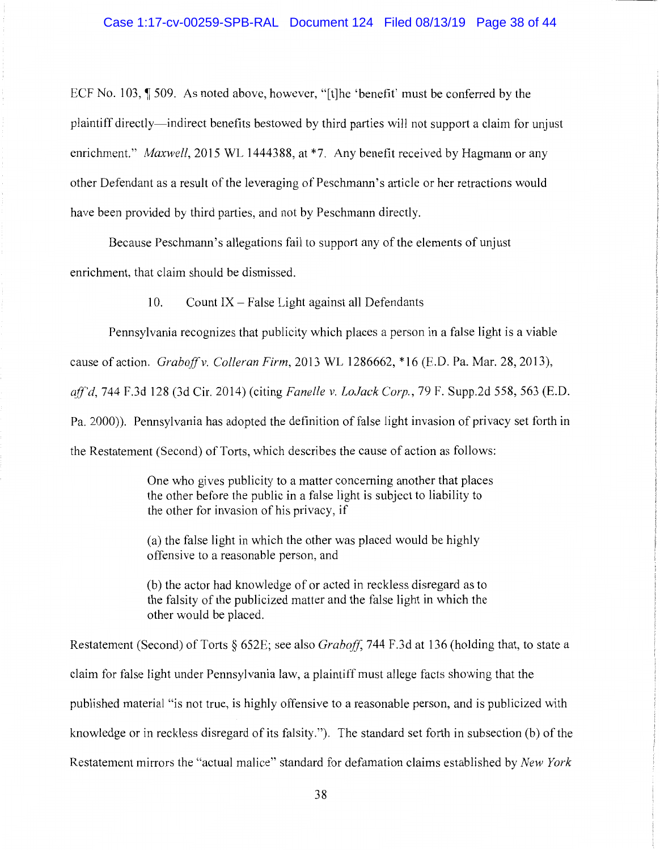ECF No. 103,  $\parallel$  509. As noted above, however, "[t]he 'benefit' must be conferred by the plaintiff directly-indirect benefits bestowed by third parties will not support a claim for unjust enrichment." *Maxwell*, 2015 WL 1444388, at \*7. Any benefit received by Hagmann or any other Defendant as a result of the leveraging of Peschmann' s article or her retractions would have been provided by third parties, and not by Peschmann directly.

Because Peschmann's allegations fail to support any of the elements of unjust enrichment, that claim should be dismissed.

10. Count  $IX - False$  Light against all Defendants

Pennsylvania recognizes that publicity which places a person in a false light is a viable cause of action. *Graboffv. Colleran Firm,* 2013 WL 1286662, \*16 (E.D. Pa. Mar. 28, 2013), *ajf'd,* 744 F.3d 128 (3d Cir. 2014) (citing *Fanelle v. LoJack Corp.,* 79 F. Supp.2d 558, 563 (E.D. Pa. 2000)). Pennsylvania has adopted the definition of false light invasion of privacy set forth in the Restatement (Second) of Torts, which describes the cause of action as follows:

> One who gives publicity to a matter concerning another that places the other before the public in a false light is subject to liability to the other for invasion of his privacy, if

(a) the false light in which the other was placed would be highly offensive to a reasonable person, and

(b) the actor had knowledge of or acted in reckless disregard as to the falsity of the publicized matter and the false light in which the other would be placed.

Restatement (Second) of Torts § 652E; see also *Graboff*, 744 F.3d at 136 (holding that, to state a claim for false light under Pennsylvania law, a plaintiff must allege facts showing that the published material "is not true, is highly offensive to a reasonable person, and is publicized with knowledge or in reckless disregard of its falsity."). The standard set forth in subsection (b) of the Restatement mirrors the "actual malice" standard for defamation claims established by *New York*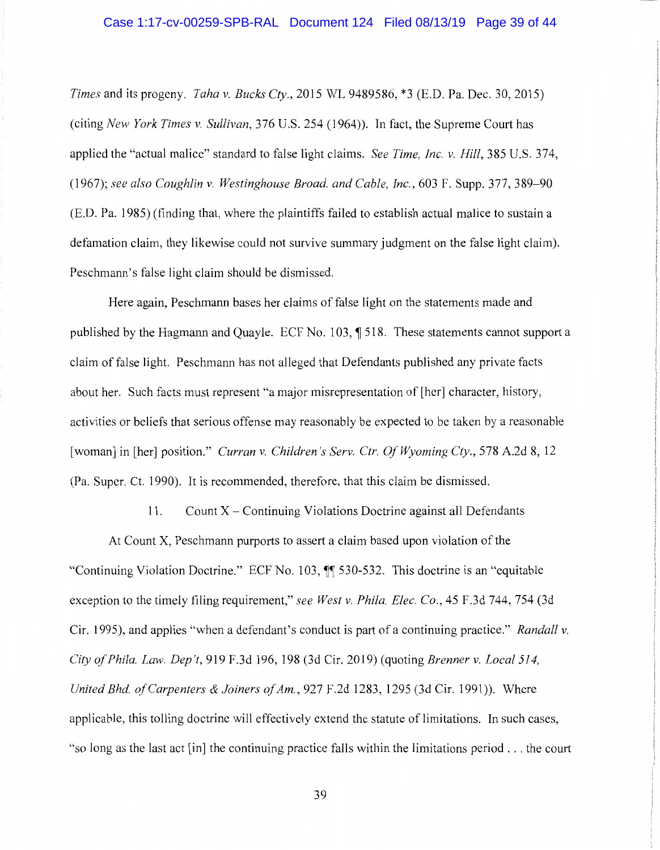*Times* and its progeny. *Taha v. Bucks Cty.,* 2015 WL 9489586, \*3 (E.D. Pa. Dec. 30, 2015) (citing *New York Times v. Sullivan,* 376 U.S. 254 (1964)). In fact, the Supreme Court has applied the "actual malice" standard to false light claims. *See Time, Inc. v. Hill,* 385 U.S. 374, (1967); *see also Coughlin v. Westinghouse Broad. and Cable, Inc.,* 603 F. Supp. 377, 389-90 (E.D. Pa. 1985) (finding that, where the plaintiffs failed to establish actual malice to sustain a defamation claim, they likewise could not survive summary judgment on the false light claim). Peschmann's false light claim should be dismissed.

Here again, Peschmann bases her claims of false light on the statements made and published by the Hagmann and Quayle. ECF No. 103, ¶ 518. These statements cannot support a claim of false light. Peschmann has not alleged that Defendants published any private facts about her. Such facts must represent "a major misrepresentation of [her] character, history, activities or beliefs that serious offense may reasonably be expected to be taken by a reasonable [woman] in [her] position." *Curran v. Children's Serv. Ctr. Of Wyoming Cty.,* 578 A.2d 8, 12 (Pa. Super. Ct. 1990). It is recommended, therefore, that this claim be dismissed.

11. Count X - Continuing Violations Doctrine against all Defendants

At Count X, Peschmann purports to assert a claim based upon violation of the "Continuing Violation Doctrine." ECF No. 103,  $\int$  530-532. This doctrine is an "equitable" exception to the timely filing requirement," *see West v. Phila. Elec. Co.,* 45 F.3d 744, 754 (3d Cir. 1995), and applies "when a defendant's conduct is part of a continuing practice." *Randall v. City of Phila. Law. Dep 't,* 919 F .3d 196, 198 (3d Cir. 2019) ( quoting *Brenner v. Local 514, United Bhd. a/Carpenters & Joiners of Am.,* 927 F.2d 1283, 1295 (3d Cir. 1991)). Where applicable, this tolling doctrine will effectively extend the statute of limitations. In such cases, "so long as the last act [in] the continuing practice falls within the limitations period ... the court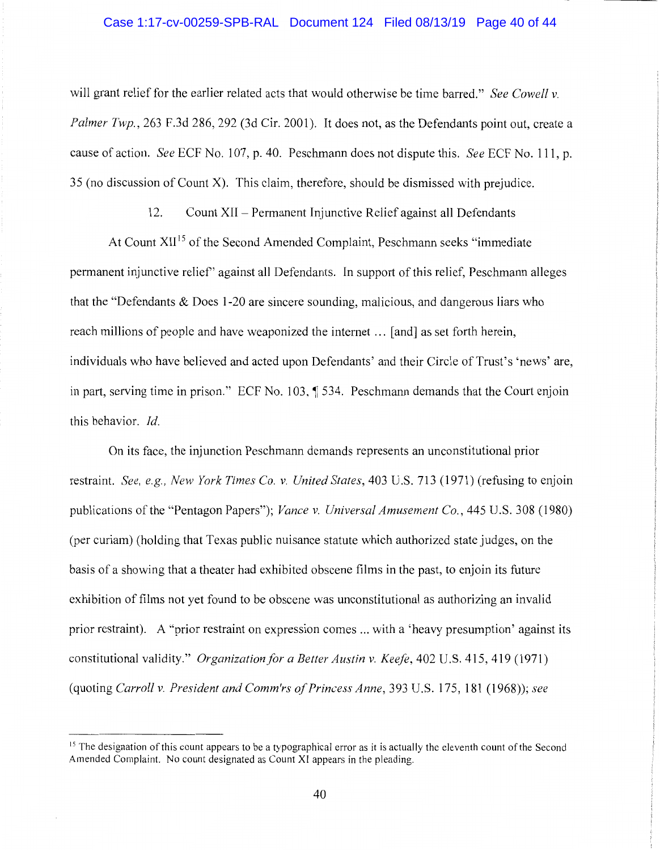## Case 1:17-cv-00259-SPB-RAL Document 124 Filed 08/13/19 Page 40 of 44

will grant relief for the earlier related acts that would otherwise be time barred." *See Cowell v. Palmer Twp.,* 263 F.3d 286, 292 (3d Cir. 2001). It does not, as the Defendants point out, create a cause of action. *See* ECF No. 107, p. 40. Peschmann does not dispute this. *See* ECF No. **111,** p. 35 (no discussion of Count X). This claim, therefore, should be dismissed with prejudice.

12. Count XII - Permanent Injunctive Relief against all Defendants

At Count XII<sup>15</sup> of the Second Amended Complaint, Peschmann seeks "immediate" permanent injunctive relief' against all Defendants. In support of this relief, Peschmann alleges that the "Defendants & Does 1-20 are sincere sounding, malicious, and dangerous liars who reach millions of people and have weaponized the internet ... [ and] as set forth herein, individuals who have believed and acted upon Defendants' and their Circle of Trust's 'news' are, in part, serving time in prison." ECF No. 103, **1534.** Peschmann demands that the Court enjoin this behavior. *Id.* 

On its face, the injunction Peschmann demands represents an unconstitutional prior restraint. *See, e.g., New York Times Co. v. United States,* 403 U.S. 713 (1971) (refusing to enjoin publications of the "Pentagon Papers"); *Vance v. Universal Amusement Co.,* 445 U.S. 308 (1980) (per curiam) (holding that Texas public nuisance statute which authorized state judges, on the basis of a showing that a theater had exhibited obscene films in the past, to enjoin its future exhibition of films not yet found to be obscene was unconstitutional as authorizing an invalid prior restraint). A "prior restraint on expression comes ... with a 'heavy presumption' against its constitutional validity." *Organization for a Better Austin v. Keefe,* 402 U.S. 415, 419 (1971) (quoting *Carroll v. President and Comm'rs of Princess Anne,* 393 U.S. 175, 181 (1968)); *see* 

<sup>&</sup>lt;sup>15</sup> The designation of this count appears to be a typographical error as it is actually the eleventh count of the Second Amended Complaint. No count designated as Count XI appears in the pleading.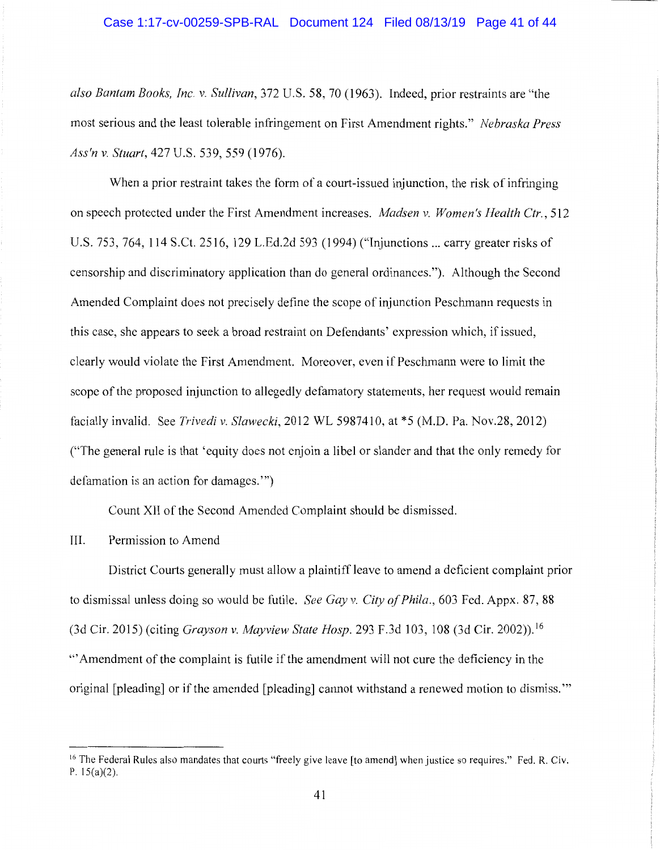## Case 1:17-cv-00259-SPB-RAL Document 124 Filed 08/13/19 Page 41 of 44

*also Bantam Books, Inc. v. Sullivan,* 372 U.S. 58, 70 (1963). Indeed, prior restraints are "the most serious and the least tolerable infringement on First Amendment rights." *Nebraska Press Ass'n v. Stuart,* 427 U.S. 539, 559 (1976).

When a prior restraint takes the form of a court-issued injunction, the risk of infringing on speech protected under the First Amendment increases. *Madsen v. Women's Health Ctr.,* 512 U.S. 753, 764, 114 S.Ct. 2516, 129 L.Ed.2d 593 (1994) ("Injunctions ... carry greater risks of censorship and discriminatory application than do general ordinances."). Although the Second Amended Complaint does not precisely define the scope of injunction Peschmann requests in this case, she appears to seek a broad restraint on Defendants' expression which, if issued, clearly would violate the First Amendment. Moreover, even if Peschmann were to limit the scope of the proposed injunction to allegedly defamatory statements, her request would remain facially invalid. See *Trivedi v. Slawecki,* 2012 WL 5987410, at \*5 (M.D. Pa. Nov.28, 2012) ("The general rule is that 'equity does not enjoin a libel or slander and that the only remedy for defamation is an action for damages."')

Count XII of the Second Amended Complaint should be dismissed.

III. Permission to Amend

District Courts generally must allow a plaintiff leave to amend a deficient complaint prior to dismissal unless doing so would be futile. *See Gay v. City of Phila.,* 603 Fed. Appx. 87, 88 (3d Cir. 2015) ( citing *Grayson v. Mayview State Hosp.* 293 F.3d 103, 108 (3d Cir. 2002)). <sup>16</sup> '" Amendment of the complaint is futile if the amendment will not cure the deficiency in the original [pleading] or if the amended [pleading] cannot withstand a renewed motion to dismiss."'

<sup>&</sup>lt;sup>16</sup> The Federal Rules also mandates that courts "freely give leave [to amend] when justice so requires." Fed. R. Civ. P. 15(a)(2).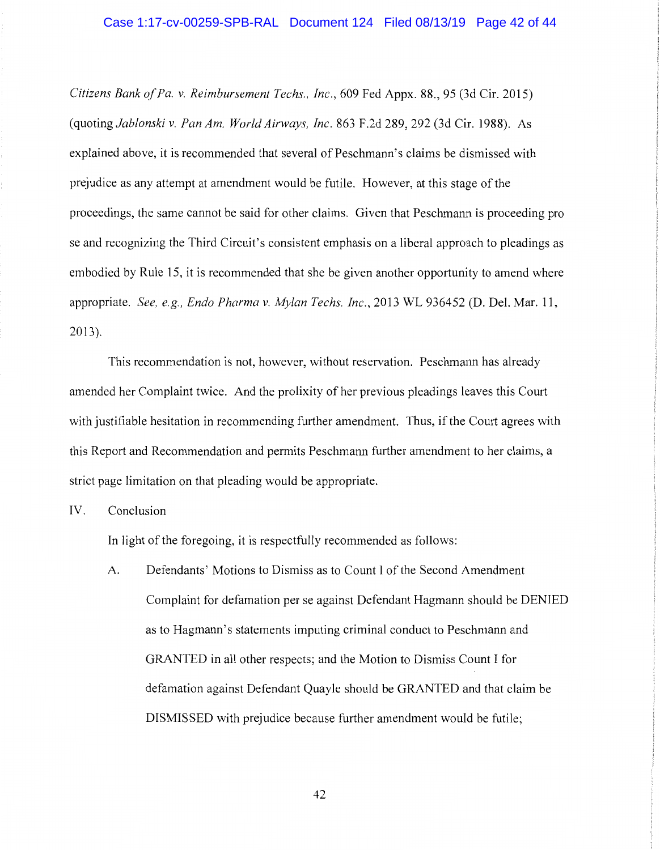*Citizens Bank of Pa. v. Reimbursement Techs., Inc.,* 609 Fed Appx. 88., 95 (3d Cir. 2015) (quoting *Jablonski v. Pan Am. World Airways, Inc.* 863 F.2d 289, 292 (3d Cir. 1988). As explained above, it is recommended that several of Peschmann's claims be dismissed with prejudice as any attempt at amendment would be futile. However, at this stage of the proceedings, the same cannot be said for other claims. Given that Peschmann is proceeding pro se and recognizing the Third Circuit's consistent emphasis on a liberal approach to pleadings as embodied by Rule 15, it is recommended that she be given another opportunity to amend where appropriate. *See, e.g., Endo Pharma v. Mylan Techs. Inc.,* 2013 WL 936452 (D. Del. Mar. 11, 2013 ).

This recommendation is not, however, without reservation. Peschmann has already amended her Complaint twice. And the prolixity of her previous pleadings leaves this Court with justifiable hesitation in recommending further amendment. Thus, if the Court agrees with this Report and Recommendation and permits Peschmann further amendment to her claims, a strict page limitation on that pleading would be appropriate.

IV. Conclusion

In light of the foregoing, it is respectfully recommended as follows:

A. Defendants' Motions to Dismiss as to Count I of the Second Amendment Complaint for defamation per se against Defendant Hagmann should be DENIED as to Hagmann's statements imputing criminal conduct to Peschmann and GRANTED in all other respects; and the Motion to Dismiss Count I for defamation against Defendant Quayle should be GRANTED and that claim be DISMISSED with prejudice because further amendment would be futile;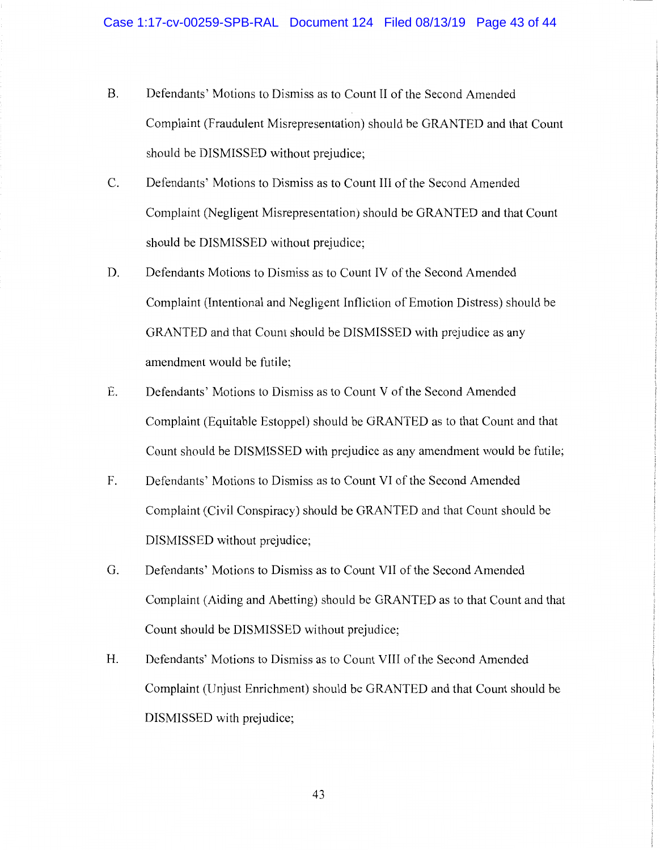- B. Defendants' Motions to Dismiss as to Count II of the Second Amended Complaint (Fraudulent Misrepresentation) should be GRANTED and that Count should be DISMISSED without prejudice;
- C. Defendants' Motions to Dismiss as to Count III of the Second Amended Complaint (Negligent Misrepresentation) should be GRANTED and that Count should be DISMISSED without prejudice;
- D. Defendants Motions to Dismiss as to Count IV of the Second Amended Complaint (Intentional and Negligent Infliction of Emotion Distress) should be GRANTED and that Count should be DISMISSED with prejudice as any amendment would be futile;
- E. Defendants' Motions to Dismiss as to Count V of the Second Amended Complaint (Equitable Estoppel) should be GRANTED as to that Count and that Count should be DISMISSED with prejudice as any amendment would be futile;
- F. Defendants' Motions to Dismiss as to Count VI of the Second Amended Complaint (Civil Conspiracy) should be GRANTED and that Count should be DISMISSED without prejudice;
- G. Defendants' Motions to Dismiss as to Count VII of the Second Amended Complaint (Aiding and Abetting) should be GRANTED as to that Count and that Count should be DISMISSED without prejudice;
- H. Defendants' Motions to Dismiss as to Count VIII of the Second Amended Complaint (Unjust Enrichment) should be GRANTED and that Count should be DISMISSED with prejudice;